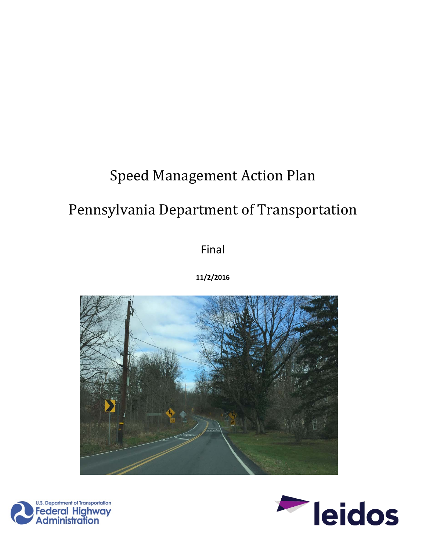# Speed Management Action Plan

# Pennsylvania Department of Transportation

Final

**11/2/2016**





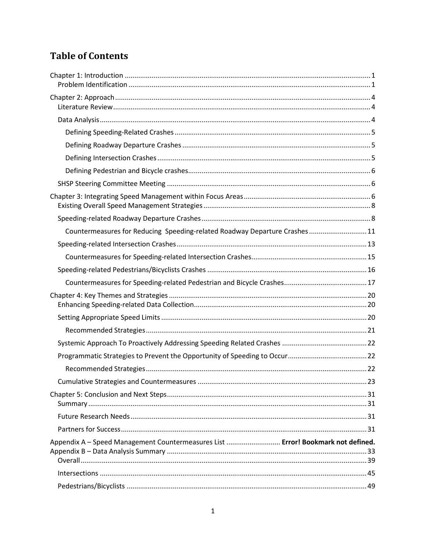## **Table of Contents**

| Countermeasures for Reducing Speeding-related Roadway Departure Crashes 11       |  |
|----------------------------------------------------------------------------------|--|
|                                                                                  |  |
|                                                                                  |  |
|                                                                                  |  |
|                                                                                  |  |
|                                                                                  |  |
|                                                                                  |  |
|                                                                                  |  |
|                                                                                  |  |
|                                                                                  |  |
|                                                                                  |  |
|                                                                                  |  |
|                                                                                  |  |
|                                                                                  |  |
|                                                                                  |  |
| Appendix A - Speed Management Countermeasures List  Error! Bookmark not defined. |  |
|                                                                                  |  |
|                                                                                  |  |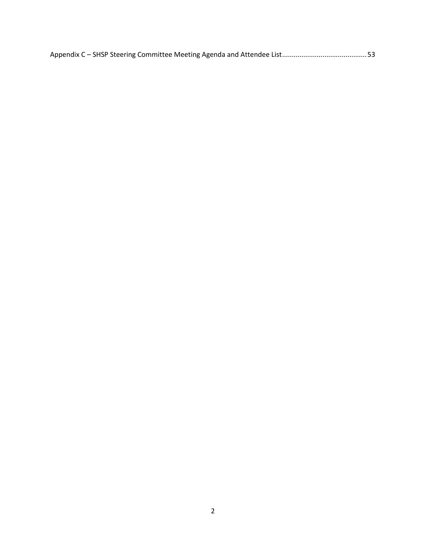|--|--|--|--|--|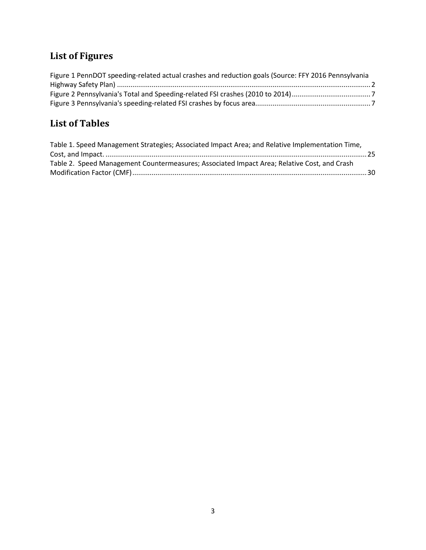## **List of Figures**

| Figure 1 PennDOT speeding-related actual crashes and reduction goals (Source: FFY 2016 Pennsylvania |  |
|-----------------------------------------------------------------------------------------------------|--|
|                                                                                                     |  |
|                                                                                                     |  |
|                                                                                                     |  |

## **List of Tables**

| Table 1. Speed Management Strategies; Associated Impact Area; and Relative Implementation Time, |  |
|-------------------------------------------------------------------------------------------------|--|
|                                                                                                 |  |
| Table 2. Speed Management Countermeasures; Associated Impact Area; Relative Cost, and Crash     |  |
|                                                                                                 |  |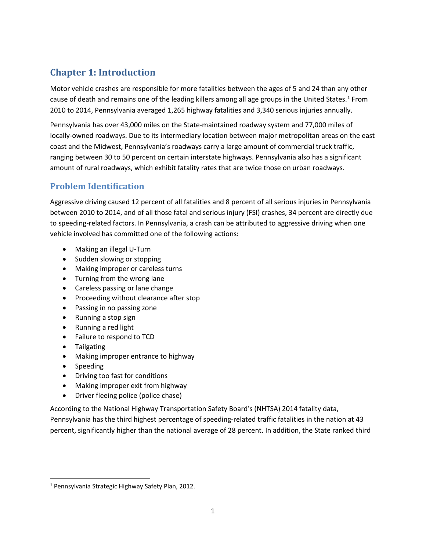## <span id="page-4-0"></span>**Chapter 1: Introduction**

Motor vehicle crashes are responsible for more fatalities between the ages of 5 and 24 than any other cause of death and remains one of the leading killers among all age groups in the United States.<sup>[1](#page-4-2)</sup> From 2010 to 2014, Pennsylvania averaged 1,265 highway fatalities and 3,340 serious injuries annually.

Pennsylvania has over 43,000 miles on the State-maintained roadway system and 77,000 miles of locally-owned roadways. Due to its intermediary location between major metropolitan areas on the east coast and the Midwest, Pennsylvania's roadways carry a large amount of commercial truck traffic, ranging between 30 to 50 percent on certain interstate highways. Pennsylvania also has a significant amount of rural roadways, which exhibit fatality rates that are twice those on urban roadways.

## <span id="page-4-1"></span>**Problem Identification**

Aggressive driving caused 12 percent of all fatalities and 8 percent of all serious injuries in Pennsylvania between 2010 to 2014, and of all those fatal and serious injury (FSI) crashes, 34 percent are directly due to speeding-related factors. In Pennsylvania, a crash can be attributed to aggressive driving when one vehicle involved has committed one of the following actions:

- Making an illegal U-Turn
- Sudden slowing or stopping
- Making improper or careless turns
- Turning from the wrong lane
- Careless passing or lane change
- Proceeding without clearance after stop
- Passing in no passing zone
- Running a stop sign
- Running a red light
- Failure to respond to TCD
- Tailgating
- Making improper entrance to highway
- Speeding
- Driving too fast for conditions
- Making improper exit from highway
- Driver fleeing police (police chase)

According to the National Highway Transportation Safety Board's (NHTSA) 2014 fatality data, Pennsylvania has the third highest percentage of speeding-related traffic fatalities in the nation at 43 percent, significantly higher than the national average of 28 percent. In addition, the State ranked third

<span id="page-4-2"></span> <sup>1</sup> Pennsylvania Strategic Highway Safety Plan, 2012.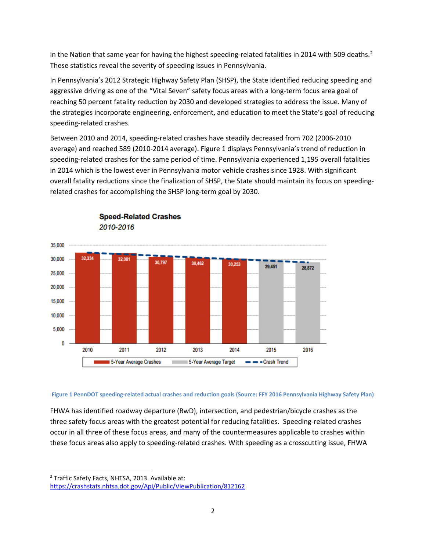in the Nation that same year for having the highest speeding-related fatalities in [2](#page-5-1)014 with 509 deaths.<sup>2</sup> These statistics reveal the severity of speeding issues in Pennsylvania.

In Pennsylvania's 2012 Strategic Highway Safety Plan (SHSP), the State identified reducing speeding and aggressive driving as one of the "Vital Seven" safety focus areas with a long-term focus area goal of reaching 50 percent fatality reduction by 2030 and developed strategies to address the issue. Many of the strategies incorporate engineering, enforcement, and education to meet the State's goal of reducing speeding-related crashes.

Between 2010 and 2014, speeding-related crashes have steadily decreased from 702 (2006-2010 average) and reached 589 (2010-2014 average). [Figure 1](#page-5-0) displays Pennsylvania's trend of reduction in speeding-related crashes for the same period of time. Pennsylvania experienced 1,195 overall fatalities in 2014 which is the lowest ever in Pennsylvania motor vehicle crashes since 1928. With significant overall fatality reductions since the finalization of SHSP, the State should maintain its focus on speedingrelated crashes for accomplishing the SHSP long-term goal by 2030.



**Speed-Related Crashes** 2010-2016

#### <span id="page-5-0"></span>**Figure 1 PennDOT speeding-related actual crashes and reduction goals (Source: FFY 2016 Pennsylvania Highway Safety Plan)**

FHWA has identified roadway departure (RwD), intersection, and pedestrian/bicycle crashes as the three safety focus areas with the greatest potential for reducing fatalities. Speeding-related crashes occur in all three of these focus areas, and many of the countermeasures applicable to crashes within these focus areas also apply to speeding-related crashes. With speeding as a crosscutting issue, FHWA

<span id="page-5-1"></span><sup>&</sup>lt;sup>2</sup> Traffic Safety Facts, NHTSA, 2013. Available at:

<https://crashstats.nhtsa.dot.gov/Api/Public/ViewPublication/812162>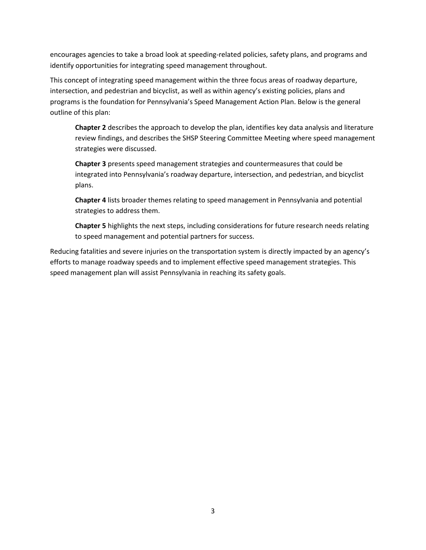encourages agencies to take a broad look at speeding-related policies, safety plans, and programs and identify opportunities for integrating speed management throughout.

This concept of integrating speed management within the three focus areas of roadway departure, intersection, and pedestrian and bicyclist, as well as within agency's existing policies, plans and programs is the foundation for Pennsylvania's Speed Management Action Plan. Below is the general outline of this plan:

**Chapter 2** describes the approach to develop the plan, identifies key data analysis and literature review findings, and describes the SHSP Steering Committee Meeting where speed management strategies were discussed.

**Chapter 3** presents speed management strategies and countermeasures that could be integrated into Pennsylvania's roadway departure, intersection, and pedestrian, and bicyclist plans.

**Chapter 4** lists broader themes relating to speed management in Pennsylvania and potential strategies to address them.

**Chapter 5** highlights the next steps, including considerations for future research needs relating to speed management and potential partners for success.

Reducing fatalities and severe injuries on the transportation system is directly impacted by an agency's efforts to manage roadway speeds and to implement effective speed management strategies. This speed management plan will assist Pennsylvania in reaching its safety goals.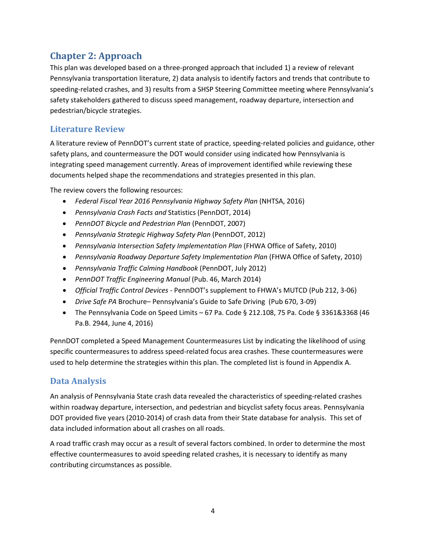## <span id="page-7-0"></span>**Chapter 2: Approach**

This plan was developed based on a three-pronged approach that included 1) a review of relevant Pennsylvania transportation literature, 2) data analysis to identify factors and trends that contribute to speeding-related crashes, and 3) results from a SHSP Steering Committee meeting where Pennsylvania's safety stakeholders gathered to discuss speed management, roadway departure, intersection and pedestrian/bicycle strategies.

### <span id="page-7-1"></span>**Literature Review**

A literature review of PennDOT's current state of practice, speeding-related policies and guidance, other safety plans, and countermeasure the DOT would consider using indicated how Pennsylvania is integrating speed management currently. Areas of improvement identified while reviewing these documents helped shape the recommendations and strategies presented in this plan.

The review covers the following resources:

- *Federal Fiscal Year 2016 Pennsylvania Highway Safety Plan* (NHTSA, 2016)
- *Pennsylvania Crash Facts and* Statistics (PennDOT, 2014)
- *PennDOT Bicycle and Pedestrian Plan* (PennDOT, 2007)
- *Pennsylvania Strategic Highway Safety Plan* (PennDOT, 2012)
- *Pennsylvania Intersection Safety Implementation Plan* (FHWA Office of Safety, 2010)
- *Pennsylvania Roadway Departure Safety Implementation Plan* (FHWA Office of Safety, 2010)
- *Pennsylvania Traffic Calming Handbook* (PennDOT, July 2012)
- *PennDOT Traffic Engineering Manual* (Pub. 46, March 2014)
- *Official Traffic Control Devices* PennDOT's supplement to FHWA's MUTCD (Pub 212, 3-06)
- *Drive Safe PA* Brochure– Pennsylvania's Guide to Safe Driving (Pub 670, 3-09)
- The Pennsylvania Code on Speed Limits 67 Pa. Code § 212.108, 75 Pa. Code § 3361&3368 (46 Pa.B. 2944, June 4, 2016)

PennDOT completed a Speed Management Countermeasures List by indicating the likelihood of using specific countermeasures to address speed-related focus area crashes. These countermeasures were used to help determine the strategies within this plan. The completed list is found in Appendix A.

### <span id="page-7-2"></span>**Data Analysis**

An analysis of Pennsylvania State crash data revealed the characteristics of speeding-related crashes within roadway departure, intersection, and pedestrian and bicyclist safety focus areas. Pennsylvania DOT provided five years (2010-2014) of crash data from their State database for analysis. This set of data included information about all crashes on all roads.

A road traffic crash may occur as a result of several factors combined. In order to determine the most effective countermeasures to avoid speeding related crashes, it is necessary to identify as many contributing circumstances as possible.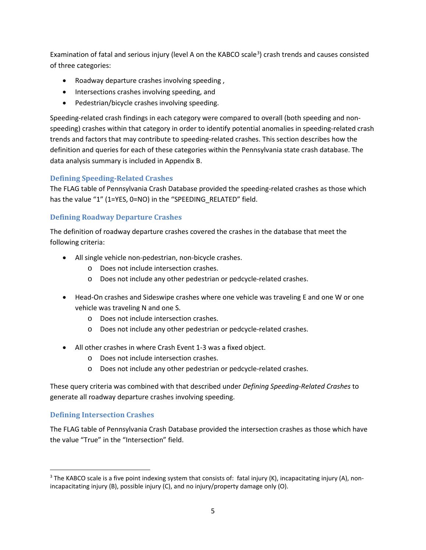Examination of fatal and serious injury (level A on the KABCO scale<sup>[3](#page-8-3)</sup>) crash trends and causes consisted of three categories:

- Roadway departure crashes involving speeding ,
- Intersections crashes involving speeding, and
- Pedestrian/bicycle crashes involving speeding.

Speeding-related crash findings in each category were compared to overall (both speeding and nonspeeding) crashes within that category in order to identify potential anomalies in speeding-related crash trends and factors that may contribute to speeding-related crashes. This section describes how the definition and queries for each of these categories within the Pennsylvania state crash database. The data analysis summary is included in Appendix B.

#### <span id="page-8-0"></span>**Defining Speeding-Related Crashes**

The FLAG table of Pennsylvania Crash Database provided the speeding-related crashes as those which has the value "1" (1=YES, 0=NO) in the "SPEEDING RELATED" field.

#### <span id="page-8-1"></span>**Defining Roadway Departure Crashes**

The definition of roadway departure crashes covered the crashes in the database that meet the following criteria:

- All single vehicle non-pedestrian, non-bicycle crashes.
	- o Does not include intersection crashes.
	- o Does not include any other pedestrian or pedcycle-related crashes.
- Head-On crashes and Sideswipe crashes where one vehicle was traveling E and one W or one vehicle was traveling N and one S.
	- o Does not include intersection crashes.
	- o Does not include any other pedestrian or pedcycle-related crashes.
- All other crashes in where Crash Event 1-3 was a fixed object.
	- o Does not include intersection crashes.
	- o Does not include any other pedestrian or pedcycle-related crashes.

These query criteria was combined with that described under *Defining Speeding-Related Crashes* to generate all roadway departure crashes involving speeding.

#### <span id="page-8-2"></span>**Defining Intersection Crashes**

The FLAG table of Pennsylvania Crash Database provided the intersection crashes as those which have the value "True" in the "Intersection" field.

<span id="page-8-3"></span> $3$  The KABCO scale is a five point indexing system that consists of: fatal injury (K), incapacitating injury (A), nonincapacitating injury (B), possible injury (C), and no injury/property damage only (O).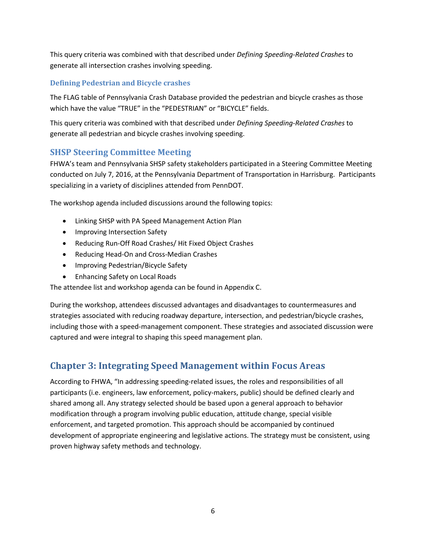This query criteria was combined with that described under *Defining Speeding-Related Crashes* to generate all intersection crashes involving speeding.

#### <span id="page-9-0"></span>**Defining Pedestrian and Bicycle crashes**

The FLAG table of Pennsylvania Crash Database provided the pedestrian and bicycle crashes as those which have the value "TRUE" in the "PEDESTRIAN" or "BICYCLE" fields.

This query criteria was combined with that described under *Defining Speeding-Related Crashes* to generate all pedestrian and bicycle crashes involving speeding.

#### <span id="page-9-1"></span>**SHSP Steering Committee Meeting**

FHWA's team and Pennsylvania SHSP safety stakeholders participated in a Steering Committee Meeting conducted on July 7, 2016, at the Pennsylvania Department of Transportation in Harrisburg. Participants specializing in a variety of disciplines attended from PennDOT.

The workshop agenda included discussions around the following topics:

- Linking SHSP with PA Speed Management Action Plan
- Improving Intersection Safety
- Reducing Run-Off Road Crashes/ Hit Fixed Object Crashes
- Reducing Head-On and Cross-Median Crashes
- Improving Pedestrian/Bicycle Safety
- Enhancing Safety on Local Roads

The attendee list and workshop agenda can be found in Appendix C.

During the workshop, attendees discussed advantages and disadvantages to countermeasures and strategies associated with reducing roadway departure, intersection, and pedestrian/bicycle crashes, including those with a speed-management component. These strategies and associated discussion were captured and were integral to shaping this speed management plan.

## <span id="page-9-2"></span>**Chapter 3: Integrating Speed Management within Focus Areas**

According to FHWA, "In addressing speeding-related issues, the roles and responsibilities of all participants (i.e. engineers, law enforcement, policy-makers, public) should be defined clearly and shared among all. Any strategy selected should be based upon a general approach to behavior modification through a program involving public education, attitude change, special visible enforcement, and targeted promotion. This approach should be accompanied by continued development of appropriate engineering and legislative actions. The strategy must be consistent, using proven highway safety methods and technology.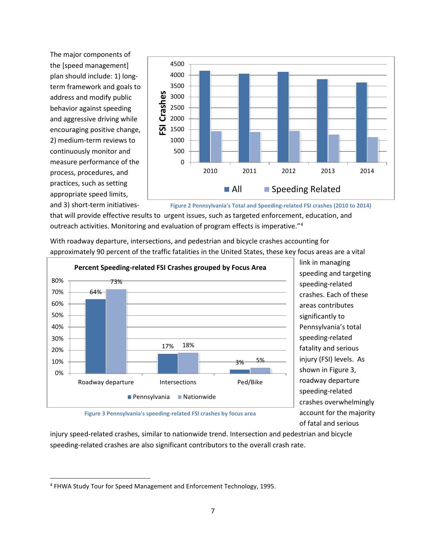The major components of the [speed management] plan should include: 1) longterm framework and goals to address and modify public behavior against speeding and aggressive driving while encouraging positive change, 2) medium-term reviews to continuously monitor and measure performance of the process, procedures, and practices, such as setting appropriate speed limits, and 3) short-term initiatives-



**Figure 2 Pennsylvania's Total and Speeding-related FSI crashes (2010 to 2014)**

that will provide effective results to urgent issues, such as targeted enforcement, education, and outreach activities. Monitoring and evaluation of program effects is imperative."[4](#page-10-1)

With roadway departure, intersections, and pedestrian and bicycle crashes accounting for approximately 90 percent of the traffic fatalities in the United States, these key focus areas are a vital



link in managing speeding and targeting speeding-related crashes. Each of these areas contributes significantly to Pennsylvania's total speeding-related fatality and serious injury (FSI) levels. As shown i[n Figure 3,](#page-10-0) roadway departure speeding-related crashes overwhelmingly account for the majority of fatal and serious

**Figure 3 Pennsylvania's speeding-related FSI crashes by focus area**

<span id="page-10-0"></span>injury speed-related crashes, similar to nationwide trend. Intersection and pedestrian and bicycle speeding-related crashes are also significant contributors to the overall crash rate.

<span id="page-10-1"></span> <sup>4</sup> FHWA Study Tour for Speed Management and Enforcement Technology, 1995.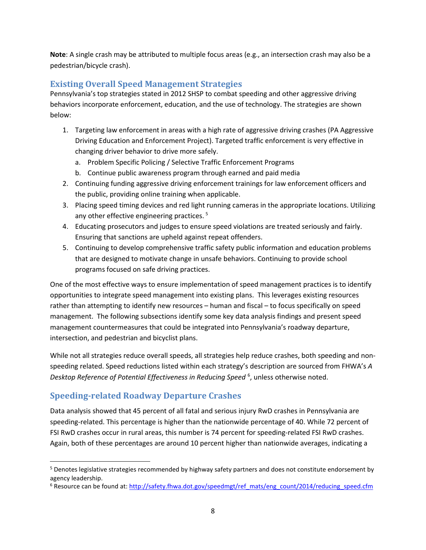**Note**: A single crash may be attributed to multiple focus areas (e.g., an intersection crash may also be a pedestrian/bicycle crash).

#### <span id="page-11-0"></span>**Existing Overall Speed Management Strategies**

Pennsylvania's top strategies stated in 2012 SHSP to combat speeding and other aggressive driving behaviors incorporate enforcement, education, and the use of technology. The strategies are shown below:

- 1. Targeting law enforcement in areas with a high rate of aggressive driving crashes (PA Aggressive Driving Education and Enforcement Project). Targeted traffic enforcement is very effective in changing driver behavior to drive more safely.
	- a. Problem Specific Policing / Selective Traffic Enforcement Programs
	- b. Continue public awareness program through earned and paid media
- 2. Continuing funding aggressive driving enforcement trainings for law enforcement officers and the public, providing online training when applicable.
- 3. Placing speed timing devices and red light running cameras in the appropriate locations. Utilizing any other effective engineering practices. [5](#page-11-2)
- 4. Educating prosecutors and judges to ensure speed violations are treated seriously and fairly. Ensuring that sanctions are upheld against repeat offenders.
- 5. Continuing to develop comprehensive traffic safety public information and education problems that are designed to motivate change in unsafe behaviors. Continuing to provide school programs focused on safe driving practices.

One of the most effective ways to ensure implementation of speed management practices is to identify opportunities to integrate speed management into existing plans. This leverages existing resources rather than attempting to identify new resources – human and fiscal – to focus specifically on speed management. The following subsections identify some key data analysis findings and present speed management countermeasures that could be integrated into Pennsylvania's roadway departure, intersection, and pedestrian and bicyclist plans.

While not all strategies reduce overall speeds, all strategies help reduce crashes, both speeding and nonspeeding related. Speed reductions listed within each strategy's description are sourced from FHWA's *A*  Desktop Reference of Potential Effectiveness in Reducing Speed <sup>[6](#page-11-3)</sup>, unless otherwise noted.

## <span id="page-11-1"></span>**Speeding-related Roadway Departure Crashes**

Data analysis showed that 45 percent of all fatal and serious injury RwD crashes in Pennsylvania are speeding-related. This percentage is higher than the nationwide percentage of 40. While 72 percent of FSI RwD crashes occur in rural areas, this number is 74 percent for speeding-related FSI RwD crashes. Again, both of these percentages are around 10 percent higher than nationwide averages, indicating a

<span id="page-11-2"></span> <sup>5</sup> Denotes legislative strategies recommended by highway safety partners and does not constitute endorsement by agency leadership.

<span id="page-11-3"></span><sup>&</sup>lt;sup>6</sup> Resource can be found at: [http://safety.fhwa.dot.gov/speedmgt/ref\\_mats/eng\\_count/2014/reducing\\_speed.cfm](http://safety.fhwa.dot.gov/speedmgt/ref_mats/eng_count/2014/reducing_speed.cfm)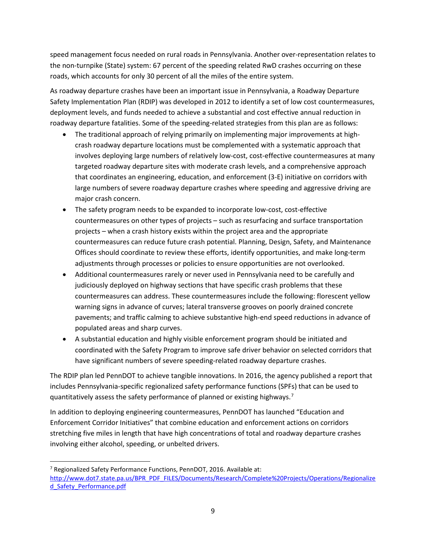speed management focus needed on rural roads in Pennsylvania. Another over-representation relates to the non-turnpike (State) system: 67 percent of the speeding related RwD crashes occurring on these roads, which accounts for only 30 percent of all the miles of the entire system.

As roadway departure crashes have been an important issue in Pennsylvania, a Roadway Departure Safety Implementation Plan (RDIP) was developed in 2012 to identify a set of low cost countermeasures, deployment levels, and funds needed to achieve a substantial and cost effective annual reduction in roadway departure fatalities. Some of the speeding-related strategies from this plan are as follows:

- The traditional approach of relying primarily on implementing major improvements at highcrash roadway departure locations must be complemented with a systematic approach that involves deploying large numbers of relatively low-cost, cost-effective countermeasures at many targeted roadway departure sites with moderate crash levels, and a comprehensive approach that coordinates an engineering, education, and enforcement (3-E) initiative on corridors with large numbers of severe roadway departure crashes where speeding and aggressive driving are major crash concern.
- The safety program needs to be expanded to incorporate low-cost, cost-effective countermeasures on other types of projects – such as resurfacing and surface transportation projects – when a crash history exists within the project area and the appropriate countermeasures can reduce future crash potential. Planning, Design, Safety, and Maintenance Offices should coordinate to review these efforts, identify opportunities, and make long-term adjustments through processes or policies to ensure opportunities are not overlooked.
- Additional countermeasures rarely or never used in Pennsylvania need to be carefully and judiciously deployed on highway sections that have specific crash problems that these countermeasures can address. These countermeasures include the following: florescent yellow warning signs in advance of curves; lateral transverse grooves on poorly drained concrete pavements; and traffic calming to achieve substantive high-end speed reductions in advance of populated areas and sharp curves.
- A substantial education and highly visible enforcement program should be initiated and coordinated with the Safety Program to improve safe driver behavior on selected corridors that have significant numbers of severe speeding-related roadway departure crashes.

The RDIP plan led PennDOT to achieve tangible innovations. In 2016, the agency published a report that includes Pennsylvania-specific regionalized safety performance functions (SPFs) that can be used to quantitatively assess the safety performance of planned or existing highways.<sup>[7](#page-12-0)</sup>

In addition to deploying engineering countermeasures, PennDOT has launched "Education and Enforcement Corridor Initiatives" that combine education and enforcement actions on corridors stretching five miles in length that have high concentrations of total and roadway departure crashes involving either alcohol, speeding, or unbelted drivers.

<span id="page-12-0"></span> <sup>7</sup> Regionalized Safety Performance Functions, PennDOT, 2016. Available at: [http://www.dot7.state.pa.us/BPR\\_PDF\\_FILES/Documents/Research/Complete%20Projects/Operations/Regionalize](http://www.dot7.state.pa.us/BPR_PDF_FILES/Documents/Research/Complete%20Projects/Operations/Regionalized_Safety_Performance.pdf) [d\\_Safety\\_Performance.pdf](http://www.dot7.state.pa.us/BPR_PDF_FILES/Documents/Research/Complete%20Projects/Operations/Regionalized_Safety_Performance.pdf)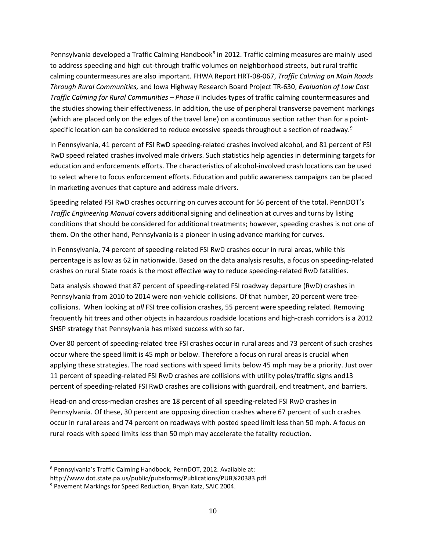Pennsylvania developed a Traffic Calming Handbook<sup>[8](#page-13-0)</sup> in 2012. Traffic calming measures are mainly used to address speeding and high cut-through traffic volumes on neighborhood streets, but rural traffic calming countermeasures are also important. FHWA Report HRT-08-067, *Traffic Calming on Main Roads Through Rural Communities,* and Iowa Highway Research Board Project TR-630, *Evaluation of Low Cost Traffic Calming for Rural Communities – Phase II* includes types of traffic calming countermeasures and the studies showing their effectiveness. In addition, the use of peripheral transverse pavement markings (which are placed only on the edges of the travel lane) on a continuous section rather than for a point-specific location can be considered to reduce excessive speeds throughout a section of roadway.<sup>[9](#page-13-1)</sup>

In Pennsylvania, 41 percent of FSI RwD speeding-related crashes involved alcohol, and 81 percent of FSI RwD speed related crashes involved male drivers. Such statistics help agencies in determining targets for education and enforcements efforts. The characteristics of alcohol-involved crash locations can be used to select where to focus enforcement efforts. Education and public awareness campaigns can be placed in marketing avenues that capture and address male drivers.

Speeding related FSI RwD crashes occurring on curves account for 56 percent of the total. PennDOT's *Traffic Engineering Manual* covers additional signing and delineation at curves and turns by listing conditions that should be considered for additional treatments; however, speeding crashes is not one of them. On the other hand, Pennsylvania is a pioneer in using advance marking for curves.

In Pennsylvania, 74 percent of speeding-related FSI RwD crashes occur in rural areas, while this percentage is as low as 62 in nationwide. Based on the data analysis results, a focus on speeding-related crashes on rural State roads is the most effective way to reduce speeding-related RwD fatalities.

Data analysis showed that 87 percent of speeding-related FSI roadway departure (RwD) crashes in Pennsylvania from 2010 to 2014 were non-vehicle collisions. Of that number, 20 percent were treecollisions. When looking at *all* FSI tree collision crashes, 55 percent were speeding related. Removing frequently hit trees and other objects in hazardous roadside locations and high-crash corridors is a 2012 SHSP strategy that Pennsylvania has mixed success with so far.

Over 80 percent of speeding-related tree FSI crashes occur in rural areas and 73 percent of such crashes occur where the speed limit is 45 mph or below. Therefore a focus on rural areas is crucial when applying these strategies. The road sections with speed limits below 45 mph may be a priority. Just over 11 percent of speeding-related FSI RwD crashes are collisions with utility poles/traffic signs and13 percent of speeding-related FSI RwD crashes are collisions with guardrail, end treatment, and barriers.

Head-on and cross-median crashes are 18 percent of all speeding-related FSI RwD crashes in Pennsylvania. Of these, 30 percent are opposing direction crashes where 67 percent of such crashes occur in rural areas and 74 percent on roadways with posted speed limit less than 50 mph. A focus on rural roads with speed limits less than 50 mph may accelerate the fatality reduction.

<span id="page-13-0"></span> <sup>8</sup> Pennsylvania's Traffic Calming Handbook, PennDOT, 2012. Available at:

http://www.dot.state.pa.us/public/pubsforms/Publications/PUB%20383.pdf

<span id="page-13-1"></span><sup>9</sup> Pavement Markings for Speed Reduction, Bryan Katz, SAIC 2004.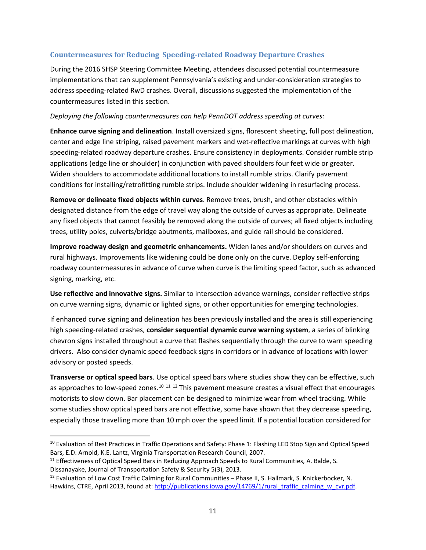#### <span id="page-14-0"></span>**Countermeasures for Reducing Speeding-related Roadway Departure Crashes**

During the 2016 SHSP Steering Committee Meeting, attendees discussed potential countermeasure implementations that can supplement Pennsylvania's existing and under-consideration strategies to address speeding-related RwD crashes. Overall, discussions suggested the implementation of the countermeasures listed in this section.

#### *Deploying the following countermeasures can help PennDOT address speeding at curves:*

**Enhance curve signing and delineation**. Install oversized signs, florescent sheeting, full post delineation, center and edge line striping, raised pavement markers and wet-reflective markings at curves with high speeding-related roadway departure crashes. Ensure consistency in deployments. Consider rumble strip applications (edge line or shoulder) in conjunction with paved shoulders four feet wide or greater. Widen shoulders to accommodate additional locations to install rumble strips. Clarify pavement conditions for installing/retrofitting rumble strips. Include shoulder widening in resurfacing process.

**Remove or delineate fixed objects within curves**. Remove trees, brush, and other obstacles within designated distance from the edge of travel way along the outside of curves as appropriate. Delineate any fixed objects that cannot feasibly be removed along the outside of curves; all fixed objects including trees, utility poles, culverts/bridge abutments, mailboxes, and guide rail should be considered.

**Improve roadway design and geometric enhancements.** Widen lanes and/or shoulders on curves and rural highways. Improvements like widening could be done only on the curve. Deploy self-enforcing roadway countermeasures in advance of curve when curve is the limiting speed factor, such as advanced signing, marking, etc.

**Use reflective and innovative signs.** Similar to intersection advance warnings, consider reflective strips on curve warning signs, dynamic or lighted signs, or other opportunities for emerging technologies.

If enhanced curve signing and delineation has been previously installed and the area is still experiencing high speeding-related crashes, **consider sequential dynamic curve warning system**, a series of blinking chevron signs installed throughout a curve that flashes sequentially through the curve to warn speeding drivers. Also consider dynamic speed feedback signs in corridors or in advance of locations with lower advisory or posted speeds.

**Transverse or optical speed bars**. Use optical speed bars where studies show they can be effective, such as approaches to low-speed zones.<sup>[10](#page-14-1) [11](#page-14-2) [12](#page-14-3)</sup> This pavement measure creates a visual effect that encourages motorists to slow down. Bar placement can be designed to minimize wear from wheel tracking. While some studies show optical speed bars are not effective, some have shown that they decrease speeding, especially those travelling more than 10 mph over the speed limit. If a potential location considered for

<span id="page-14-1"></span><sup>&</sup>lt;sup>10</sup> Evaluation of Best Practices in Traffic Operations and Safety: Phase 1: Flashing LED Stop Sign and Optical Speed Bars, E.D. Arnold, K.E. Lantz, Virginia Transportation Research Council, 2007.

<span id="page-14-2"></span><sup>&</sup>lt;sup>11</sup> Effectiveness of Optical Speed Bars in Reducing Approach Speeds to Rural Communities, A. Balde, S. Dissanayake, Journal of Transportation Safety & Security 5(3), 2013.

<span id="page-14-3"></span><sup>&</sup>lt;sup>12</sup> Evaluation of Low Cost Traffic Calming for Rural Communities – Phase II, S. Hallmark, S. Knickerbocker, N. Hawkins, CTRE, April 2013, found at: [http://publications.iowa.gov/14769/1/rural\\_traffic\\_calming\\_w\\_cvr.pdf.](http://publications.iowa.gov/14769/1/rural_traffic_calming_w_cvr.pdf)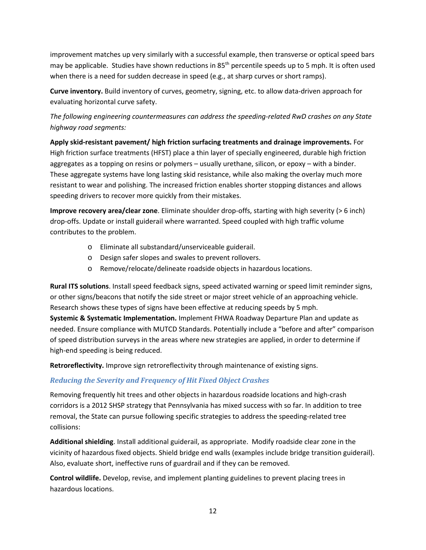improvement matches up very similarly with a successful example, then transverse or optical speed bars may be applicable. Studies have shown reductions in 85<sup>th</sup> percentile speeds up to 5 mph. It is often used when there is a need for sudden decrease in speed (e.g., at sharp curves or short ramps).

**Curve inventory.** Build inventory of curves, geometry, signing, etc. to allow data-driven approach for evaluating horizontal curve safety.

*The following engineering countermeasures can address the speeding-related RwD crashes on any State highway road segments:*

**Apply skid-resistant pavement/ high friction surfacing treatments and drainage improvements.** For High friction surface treatments (HFST) place a thin layer of specially engineered, durable high friction aggregates as a topping on resins or polymers – usually urethane, silicon, or epoxy – with a binder. These aggregate systems have long lasting skid resistance, while also making the overlay much more resistant to wear and polishing. The increased friction enables shorter stopping distances and allows speeding drivers to recover more quickly from their mistakes.

**Improve recovery area/clear zone**. Eliminate shoulder drop-offs, starting with high severity (> 6 inch) drop-offs. Update or install guiderail where warranted. Speed coupled with high traffic volume contributes to the problem.

- o Eliminate all substandard/unserviceable guiderail.
- o Design safer slopes and swales to prevent rollovers.
- o Remove/relocate/delineate roadside objects in hazardous locations.

**Rural ITS solutions**. Install speed feedback signs, speed activated warning or speed limit reminder signs, or other signs/beacons that notify the side street or major street vehicle of an approaching vehicle. Research shows these types of signs have been effective at reducing speeds by 5 mph.

**Systemic & Systematic Implementation.** Implement FHWA Roadway Departure Plan and update as needed. Ensure compliance with MUTCD Standards. Potentially include a "before and after" comparison of speed distribution surveys in the areas where new strategies are applied, in order to determine if high-end speeding is being reduced.

**Retroreflectivity.** Improve sign retroreflectivity through maintenance of existing signs.

#### *Reducing the Severity and Frequency of Hit Fixed Object Crashes*

Removing frequently hit trees and other objects in hazardous roadside locations and high-crash corridors is a 2012 SHSP strategy that Pennsylvania has mixed success with so far. In addition to tree removal, the State can pursue following specific strategies to address the speeding-related tree collisions:

**Additional shielding**. Install additional guiderail, as appropriate. Modify roadside clear zone in the vicinity of hazardous fixed objects. Shield bridge end walls (examples include bridge transition guiderail). Also, evaluate short, ineffective runs of guardrail and if they can be removed.

**Control wildlife.** Develop, revise, and implement planting guidelines to prevent placing trees in hazardous locations.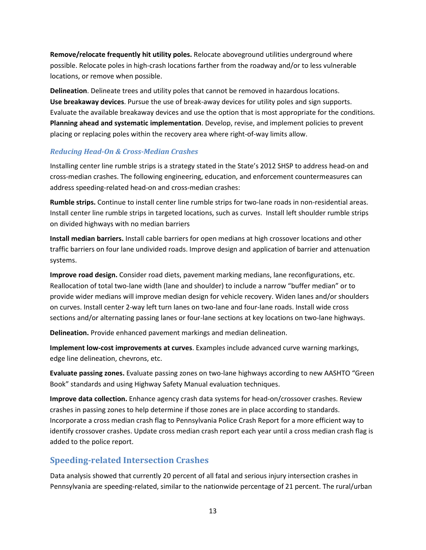**Remove/relocate frequently hit utility poles.** Relocate aboveground utilities underground where possible. Relocate poles in high-crash locations farther from the roadway and/or to less vulnerable locations, or remove when possible.

**Delineation**. Delineate trees and utility poles that cannot be removed in hazardous locations. **Use breakaway devices**. Pursue the use of break-away devices for utility poles and sign supports. Evaluate the available breakaway devices and use the option that is most appropriate for the conditions. **Planning ahead and systematic implementation**. Develop, revise, and implement policies to prevent placing or replacing poles within the recovery area where right-of-way limits allow.

#### *Reducing Head-On & Cross-Median Crashes*

Installing center line rumble strips is a strategy stated in the State's 2012 SHSP to address head-on and cross-median crashes. The following engineering, education, and enforcement countermeasures can address speeding-related head-on and cross-median crashes:

**Rumble strips.** Continue to install center line rumble strips for two-lane roads in non-residential areas. Install center line rumble strips in targeted locations, such as curves. Install left shoulder rumble strips on divided highways with no median barriers

**Install median barriers.** Install cable barriers for open medians at high crossover locations and other traffic barriers on four lane undivided roads. Improve design and application of barrier and attenuation systems.

**Improve road design.** Consider road diets, pavement marking medians, lane reconfigurations, etc. Reallocation of total two-lane width (lane and shoulder) to include a narrow "buffer median" or to provide wider medians will improve median design for vehicle recovery. Widen lanes and/or shoulders on curves. Install center 2-way left turn lanes on two-lane and four-lane roads. Install wide cross sections and/or alternating passing lanes or four-lane sections at key locations on two-lane highways.

**Delineation.** Provide enhanced pavement markings and median delineation.

**Implement low-cost improvements at curves**. Examples include advanced curve warning markings, edge line delineation, chevrons, etc.

**Evaluate passing zones.** Evaluate passing zones on two-lane highways according to new AASHTO "Green Book" standards and using Highway Safety Manual evaluation techniques.

**Improve data collection.** Enhance agency crash data systems for head-on/crossover crashes. Review crashes in passing zones to help determine if those zones are in place according to standards. Incorporate a cross median crash flag to Pennsylvania Police Crash Report for a more efficient way to identify crossover crashes. Update cross median crash report each year until a cross median crash flag is added to the police report.

### <span id="page-16-0"></span>**Speeding-related Intersection Crashes**

Data analysis showed that currently 20 percent of all fatal and serious injury intersection crashes in Pennsylvania are speeding-related, similar to the nationwide percentage of 21 percent. The rural/urban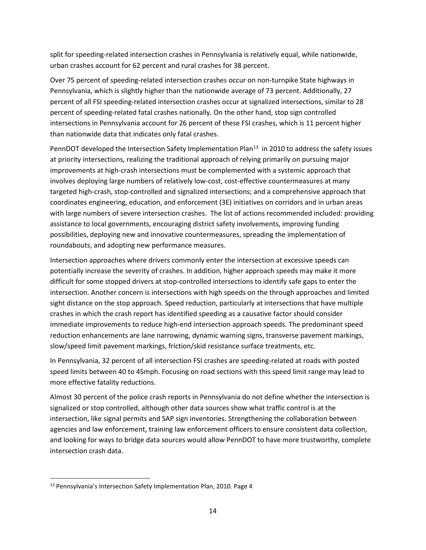split for speeding-related intersection crashes in Pennsylvania is relatively equal, while nationwide, urban crashes account for 62 percent and rural crashes for 38 percent.

Over 75 percent of speeding-related intersection crashes occur on non-turnpike State highways in Pennsylvania, which is slightly higher than the nationwide average of 73 percent. Additionally, 27 percent of all FSI speeding-related intersection crashes occur at signalized intersections, similar to 28 percent of speeding-related fatal crashes nationally. On the other hand, stop sign controlled intersections in Pennsylvania account for 26 percent of these FSI crashes, which is 11 percent higher than nationwide data that indicates only fatal crashes.

PennDOT developed the Intersection Safety Implementation Plan<sup>13</sup> in 2010 to address the safety issues at priority intersections, realizing the traditional approach of relying primarily on pursuing major improvements at high-crash intersections must be complemented with a systemic approach that involves deploying large numbers of relatively low-cost, cost-effective countermeasures at many targeted high-crash, stop-controlled and signalized intersections; and a comprehensive approach that coordinates engineering, education, and enforcement (3E) initiatives on corridors and in urban areas with large numbers of severe intersection crashes. The list of actions recommended included: providing assistance to local governments, encouraging district safety involvements, improving funding possibilities, deploying new and innovative countermeasures, spreading the implementation of roundabouts, and adopting new performance measures.

Intersection approaches where drivers commonly enter the intersection at excessive speeds can potentially increase the severity of crashes. In addition, higher approach speeds may make it more difficult for some stopped drivers at stop-controlled intersections to identify safe gaps to enter the intersection. Another concern is intersections with high speeds on the through approaches and limited sight distance on the stop approach. Speed reduction, particularly at intersections that have multiple crashes in which the crash report has identified speeding as a causative factor should consider immediate improvements to reduce high-end intersection approach speeds. The predominant speed reduction enhancements are lane narrowing, dynamic warning signs, transverse pavement markings, slow/speed limit pavement markings, friction/skid resistance surface treatments, etc.

In Pennsylvania, 32 percent of all intersection FSI crashes are speeding-related at roads with posted speed limits between 40 to 45mph. Focusing on road sections with this speed limit range may lead to more effective fatality reductions.

Almost 30 percent of the police crash reports in Pennsylvania do not define whether the intersection is signalized or stop controlled, although other data sources show what traffic control is at the intersection, like signal permits and SAP sign inventories. Strengthening the collaboration between agencies and law enforcement, training law enforcement officers to ensure consistent data collection, and looking for ways to bridge data sources would allow PennDOT to have more trustworthy, complete intersection crash data.

<span id="page-17-0"></span><sup>&</sup>lt;sup>13</sup> Pennsylvania's Intersection Safety Implementation Plan, 2010. Page 4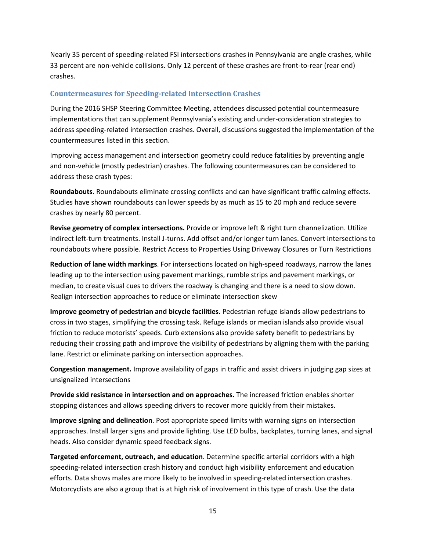Nearly 35 percent of speeding-related FSI intersections crashes in Pennsylvania are angle crashes, while 33 percent are non-vehicle collisions. Only 12 percent of these crashes are front-to-rear (rear end) crashes.

#### <span id="page-18-0"></span>**Countermeasures for Speeding-related Intersection Crashes**

During the 2016 SHSP Steering Committee Meeting, attendees discussed potential countermeasure implementations that can supplement Pennsylvania's existing and under-consideration strategies to address speeding-related intersection crashes. Overall, discussions suggested the implementation of the countermeasures listed in this section.

Improving access management and intersection geometry could reduce fatalities by preventing angle and non-vehicle (mostly pedestrian) crashes. The following countermeasures can be considered to address these crash types:

**Roundabouts**. Roundabouts eliminate crossing conflicts and can have significant traffic calming effects. Studies have shown roundabouts can lower speeds by as much as 15 to 20 mph and reduce severe crashes by nearly 80 percent.

**Revise geometry of complex intersections.** Provide or improve left & right turn channelization. Utilize indirect left-turn treatments. Install J-turns. Add offset and/or longer turn lanes. Convert intersections to roundabouts where possible. Restrict Access to Properties Using Driveway Closures or Turn Restrictions

**Reduction of lane width markings**. For intersections located on high-speed roadways, narrow the lanes leading up to the intersection using pavement markings, rumble strips and pavement markings, or median, to create visual cues to drivers the roadway is changing and there is a need to slow down. Realign intersection approaches to reduce or eliminate intersection skew

**Improve geometry of pedestrian and bicycle facilities.** Pedestrian refuge islands allow pedestrians to cross in two stages, simplifying the crossing task. Refuge islands or median islands also provide visual friction to reduce motorists' speeds. Curb extensions also provide safety benefit to pedestrians by reducing their crossing path and improve the visibility of pedestrians by aligning them with the parking lane. Restrict or eliminate parking on intersection approaches.

**Congestion management.** Improve availability of gaps in traffic and assist drivers in judging gap sizes at unsignalized intersections

**Provide skid resistance in intersection and on approaches.** The increased friction enables shorter stopping distances and allows speeding drivers to recover more quickly from their mistakes.

**Improve signing and delineation**. Post appropriate speed limits with warning signs on intersection approaches. Install larger signs and provide lighting. Use LED bulbs, backplates, turning lanes, and signal heads. Also consider dynamic speed feedback signs.

**Targeted enforcement, outreach, and education**. Determine specific arterial corridors with a high speeding-related intersection crash history and conduct high visibility enforcement and education efforts. Data shows males are more likely to be involved in speeding-related intersection crashes. Motorcyclists are also a group that is at high risk of involvement in this type of crash. Use the data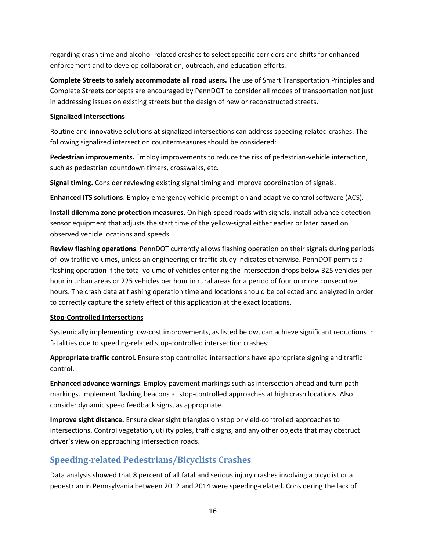regarding crash time and alcohol-related crashes to select specific corridors and shifts for enhanced enforcement and to develop collaboration, outreach, and education efforts.

**Complete Streets to safely accommodate all road users.** The use of Smart Transportation Principles and Complete Streets concepts are encouraged by PennDOT to consider all modes of transportation not just in addressing issues on existing streets but the design of new or reconstructed streets.

#### **Signalized Intersections**

Routine and innovative solutions at signalized intersections can address speeding-related crashes. The following signalized intersection countermeasures should be considered:

**Pedestrian improvements.** Employ improvements to reduce the risk of pedestrian-vehicle interaction, such as pedestrian countdown timers, crosswalks, etc.

**Signal timing.** Consider reviewing existing signal timing and improve coordination of signals.

**Enhanced ITS solutions**. Employ emergency vehicle preemption and adaptive control software (ACS).

**Install dilemma zone protection measures**. On high-speed roads with signals, install advance detection sensor equipment that adjusts the start time of the yellow-signal either earlier or later based on observed vehicle locations and speeds.

**Review flashing operations**. PennDOT currently allows flashing operation on their signals during periods of low traffic volumes, unless an engineering or traffic study indicates otherwise. PennDOT permits a flashing operation if the total volume of vehicles entering the intersection drops below 325 vehicles per hour in urban areas or 225 vehicles per hour in rural areas for a period of four or more consecutive hours. The crash data at flashing operation time and locations should be collected and analyzed in order to correctly capture the safety effect of this application at the exact locations.

#### **Stop-Controlled Intersections**

Systemically implementing low-cost improvements, as listed below, can achieve significant reductions in fatalities due to speeding-related stop-controlled intersection crashes:

**Appropriate traffic control.** Ensure stop controlled intersections have appropriate signing and traffic control.

**Enhanced advance warnings**. Employ pavement markings such as intersection ahead and turn path markings. Implement flashing beacons at stop-controlled approaches at high crash locations. Also consider dynamic speed feedback signs, as appropriate.

**Improve sight distance.** Ensure clear sight triangles on stop or yield-controlled approaches to intersections. Control vegetation, utility poles, traffic signs, and any other objects that may obstruct driver's view on approaching intersection roads.

## <span id="page-19-0"></span>**Speeding-related Pedestrians/Bicyclists Crashes**

Data analysis showed that 8 percent of all fatal and serious injury crashes involving a bicyclist or a pedestrian in Pennsylvania between 2012 and 2014 were speeding-related. Considering the lack of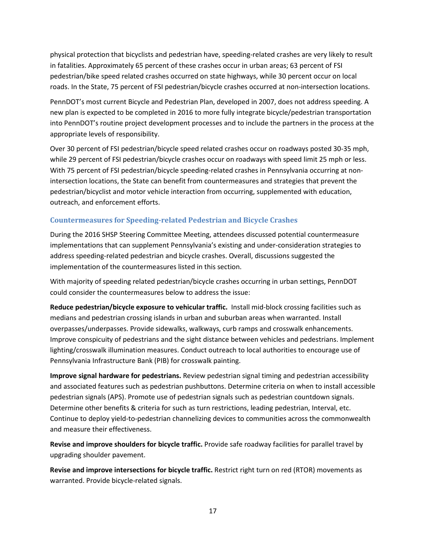physical protection that bicyclists and pedestrian have, speeding-related crashes are very likely to result in fatalities. Approximately 65 percent of these crashes occur in urban areas; 63 percent of FSI pedestrian/bike speed related crashes occurred on state highways, while 30 percent occur on local roads. In the State, 75 percent of FSI pedestrian/bicycle crashes occurred at non-intersection locations.

PennDOT's most current Bicycle and Pedestrian Plan, developed in 2007, does not address speeding. A new plan is expected to be completed in 2016 to more fully integrate bicycle/pedestrian transportation into PennDOT's routine project development processes and to include the partners in the process at the appropriate levels of responsibility.

Over 30 percent of FSI pedestrian/bicycle speed related crashes occur on roadways posted 30-35 mph, while 29 percent of FSI pedestrian/bicycle crashes occur on roadways with speed limit 25 mph or less. With 75 percent of FSI pedestrian/bicycle speeding-related crashes in Pennsylvania occurring at nonintersection locations, the State can benefit from countermeasures and strategies that prevent the pedestrian/bicyclist and motor vehicle interaction from occurring, supplemented with education, outreach, and enforcement efforts.

#### <span id="page-20-0"></span>**Countermeasures for Speeding-related Pedestrian and Bicycle Crashes**

During the 2016 SHSP Steering Committee Meeting, attendees discussed potential countermeasure implementations that can supplement Pennsylvania's existing and under-consideration strategies to address speeding-related pedestrian and bicycle crashes. Overall, discussions suggested the implementation of the countermeasures listed in this section.

With majority of speeding related pedestrian/bicycle crashes occurring in urban settings, PennDOT could consider the countermeasures below to address the issue:

**Reduce pedestrian/bicycle exposure to vehicular traffic.** Install mid-block crossing facilities such as medians and pedestrian crossing islands in urban and suburban areas when warranted. Install overpasses/underpasses. Provide sidewalks, walkways, curb ramps and crosswalk enhancements. Improve conspicuity of pedestrians and the sight distance between vehicles and pedestrians. Implement lighting/crosswalk illumination measures. Conduct outreach to local authorities to encourage use of Pennsylvania Infrastructure Bank (PIB) for crosswalk painting.

**Improve signal hardware for pedestrians.** Review pedestrian signal timing and pedestrian accessibility and associated features such as pedestrian pushbuttons. Determine criteria on when to install accessible pedestrian signals (APS). Promote use of pedestrian signals such as pedestrian countdown signals. Determine other benefits & criteria for such as turn restrictions, leading pedestrian, Interval, etc. Continue to deploy yield-to-pedestrian channelizing devices to communities across the commonwealth and measure their effectiveness.

**Revise and improve shoulders for bicycle traffic.** Provide safe roadway facilities for parallel travel by upgrading shoulder pavement.

**Revise and improve intersections for bicycle traffic.** Restrict right turn on red (RTOR) movements as warranted. Provide bicycle-related signals.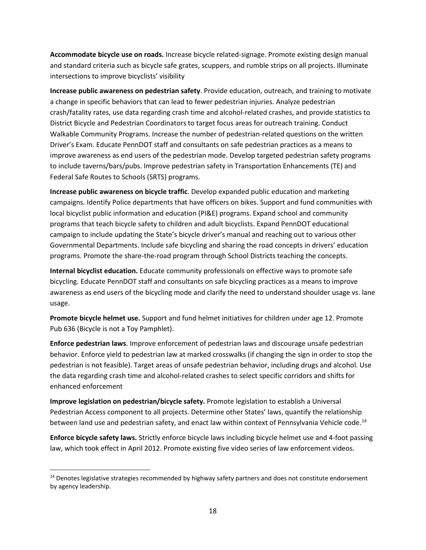**Accommodate bicycle use on roads.** Increase bicycle related-signage. Promote existing design manual and standard criteria such as bicycle safe grates, scuppers, and rumble strips on all projects. Illuminate intersections to improve bicyclists' visibility

**Increase public awareness on pedestrian safety**. Provide education, outreach, and training to motivate a change in specific behaviors that can lead to fewer pedestrian injuries. Analyze pedestrian crash/fatality rates, use data regarding crash time and alcohol-related crashes, and provide statistics to District Bicycle and Pedestrian Coordinators to target focus areas for outreach training. Conduct Walkable Community Programs. Increase the number of pedestrian-related questions on the written Driver's Exam. Educate PennDOT staff and consultants on safe pedestrian practices as a means to improve awareness as end users of the pedestrian mode. Develop targeted pedestrian safety programs to include taverns/bars/pubs. Improve pedestrian safety in Transportation Enhancements (TE) and Federal Safe Routes to Schools (SRTS) programs.

**Increase public awareness on bicycle traffic**. Develop expanded public education and marketing campaigns. Identify Police departments that have officers on bikes. Support and fund communities with local bicyclist public information and education (PI&E) programs. Expand school and community programs that teach bicycle safety to children and adult bicyclists. Expand PennDOT educational campaign to include updating the State's bicycle driver's manual and reaching out to various other Governmental Departments. Include safe bicycling and sharing the road concepts in drivers' education programs. Promote the share-the-road program through School Districts teaching the concepts.

**Internal bicyclist education.** Educate community professionals on effective ways to promote safe bicycling. Educate PennDOT staff and consultants on safe bicycling practices as a means to improve awareness as end users of the bicycling mode and clarify the need to understand shoulder usage vs. lane usage.

**Promote bicycle helmet use.** Support and fund helmet initiatives for children under age 12. Promote Pub 636 (Bicycle is not a Toy Pamphlet).

**Enforce pedestrian laws**. Improve enforcement of pedestrian laws and discourage unsafe pedestrian behavior. Enforce yield to pedestrian law at marked crosswalks (if changing the sign in order to stop the pedestrian is not feasible). Target areas of unsafe pedestrian behavior, including drugs and alcohol. Use the data regarding crash time and alcohol-related crashes to select specific corridors and shifts for enhanced enforcement

**Improve legislation on pedestrian/bicycle safety.** Promote legislation to establish a Universal Pedestrian Access component to all projects. Determine other States' laws, quantify the relationship between land use and pedestrian safety, and enact law within context of Pennsylvania Vehicle code.<sup>[14](#page-21-0)</sup>

**Enforce bicycle safety laws.** Strictly enforce bicycle laws including bicycle helmet use and 4-foot passing law, which took effect in April 2012. Promote existing five video series of law enforcement videos.

<span id="page-21-0"></span><sup>&</sup>lt;sup>14</sup> Denotes legislative strategies recommended by highway safety partners and does not constitute endorsement by agency leadership.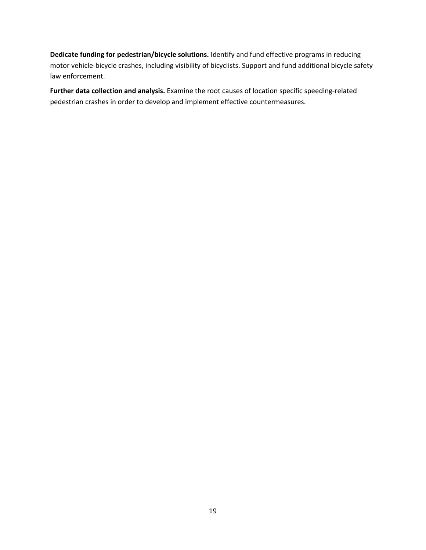**Dedicate funding for pedestrian/bicycle solutions.** Identify and fund effective programs in reducing motor vehicle-bicycle crashes, including visibility of bicyclists. Support and fund additional bicycle safety law enforcement.

**Further data collection and analysis.** Examine the root causes of location specific speeding-related pedestrian crashes in order to develop and implement effective countermeasures.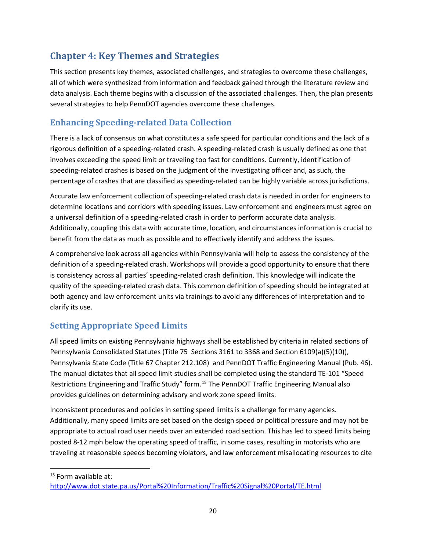## <span id="page-23-0"></span>**Chapter 4: Key Themes and Strategies**

This section presents key themes, associated challenges, and strategies to overcome these challenges, all of which were synthesized from information and feedback gained through the literature review and data analysis. Each theme begins with a discussion of the associated challenges. Then, the plan presents several strategies to help PennDOT agencies overcome these challenges.

## <span id="page-23-1"></span>**Enhancing Speeding-related Data Collection**

There is a lack of consensus on what constitutes a safe speed for particular conditions and the lack of a rigorous definition of a speeding-related crash. A speeding-related crash is usually defined as one that involves exceeding the speed limit or traveling too fast for conditions. Currently, identification of speeding-related crashes is based on the judgment of the investigating officer and, as such, the percentage of crashes that are classified as speeding-related can be highly variable across jurisdictions.

Accurate law enforcement collection of speeding-related crash data is needed in order for engineers to determine locations and corridors with speeding issues. Law enforcement and engineers must agree on a universal definition of a speeding-related crash in order to perform accurate data analysis. Additionally, coupling this data with accurate time, location, and circumstances information is crucial to benefit from the data as much as possible and to effectively identify and address the issues.

A comprehensive look across all agencies within Pennsylvania will help to assess the consistency of the definition of a speeding-related crash. Workshops will provide a good opportunity to ensure that there is consistency across all parties' speeding-related crash definition. This knowledge will indicate the quality of the speeding-related crash data. This common definition of speeding should be integrated at both agency and law enforcement units via trainings to avoid any differences of interpretation and to clarify its use.

## <span id="page-23-2"></span>**Setting Appropriate Speed Limits**

All speed limits on existing Pennsylvania highways shall be established by criteria in related sections of Pennsylvania Consolidated Statutes (Title 75 Sections 3161 to 3368 and Section 6109(a)(5)(10)), Pennsylvania State Code (Title 67 Chapter 212.108) and PennDOT Traffic Engineering Manual (Pub. 46). The manual dictates that all speed limit studies shall be completed using the standard TE-101 "Speed Restrictions Engineering and Traffic Study" form.<sup>[15](#page-23-3)</sup> The PennDOT Traffic Engineering Manual also provides guidelines on determining advisory and work zone speed limits.

Inconsistent procedures and policies in setting speed limits is a challenge for many agencies. Additionally, many speed limits are set based on the design speed or political pressure and may not be appropriate to actual road user needs over an extended road section. This has led to speed limits being posted 8-12 mph below the operating speed of traffic, in some cases, resulting in motorists who are traveling at reasonable speeds becoming violators, and law enforcement misallocating resources to cite

<span id="page-23-3"></span><sup>15</sup> Form available at:

<http://www.dot.state.pa.us/Portal%20Information/Traffic%20Signal%20Portal/TE.html>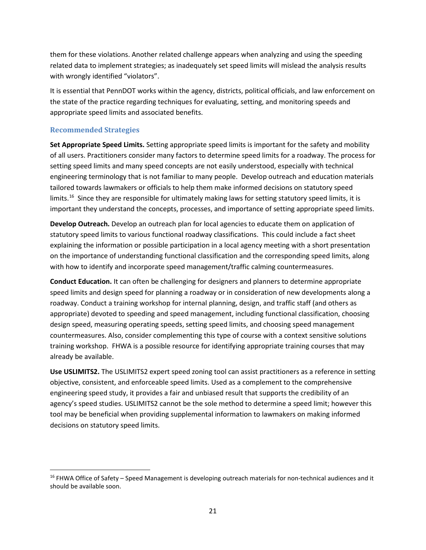them for these violations. Another related challenge appears when analyzing and using the speeding related data to implement strategies; as inadequately set speed limits will mislead the analysis results with wrongly identified "violators".

It is essential that PennDOT works within the agency, districts, political officials, and law enforcement on the state of the practice regarding techniques for evaluating, setting, and monitoring speeds and appropriate speed limits and associated benefits.

#### <span id="page-24-0"></span>**Recommended Strategies**

**Set Appropriate Speed Limits.** Setting appropriate speed limits is important for the safety and mobility of all users. Practitioners consider many factors to determine speed limits for a roadway. The process for setting speed limits and many speed concepts are not easily understood, especially with technical engineering terminology that is not familiar to many people. Develop outreach and education materials tailored towards lawmakers or officials to help them make informed decisions on statutory speed limits.<sup>16</sup> Since they are responsible for ultimately making laws for setting statutory speed limits, it is important they understand the concepts, processes, and importance of setting appropriate speed limits.

**Develop Outreach.** Develop an outreach plan for local agencies to educate them on application of statutory speed limits to various functional roadway classifications. This could include a fact sheet explaining the information or possible participation in a local agency meeting with a short presentation on the importance of understanding functional classification and the corresponding speed limits, along with how to identify and incorporate speed management/traffic calming countermeasures.

**Conduct Education.** It can often be challenging for designers and planners to determine appropriate speed limits and design speed for planning a roadway or in consideration of new developments along a roadway. Conduct a training workshop for internal planning, design, and traffic staff (and others as appropriate) devoted to speeding and speed management, including functional classification, choosing design speed, measuring operating speeds, setting speed limits, and choosing speed management countermeasures. Also, consider complementing this type of course with a context sensitive solutions training workshop. FHWA is a possible resource for identifying appropriate training courses that may already be available.

**Use USLIMITS2.** The USLIMITS2 expert speed zoning tool can assist practitioners as a reference in setting objective, consistent, and enforceable speed limits. Used as a complement to the comprehensive engineering speed study, it provides a fair and unbiased result that supports the credibility of an agency's speed studies. USLIMITS2 cannot be the sole method to determine a speed limit; however this tool may be beneficial when providing supplemental information to lawmakers on making informed decisions on statutory speed limits.

<span id="page-24-1"></span><sup>&</sup>lt;sup>16</sup> FHWA Office of Safety – Speed Management is developing outreach materials for non-technical audiences and it should be available soon.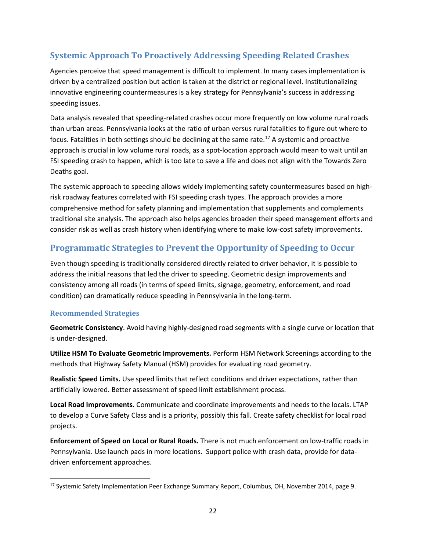## <span id="page-25-0"></span>**Systemic Approach To Proactively Addressing Speeding Related Crashes**

Agencies perceive that speed management is difficult to implement. In many cases implementation is driven by a centralized position but action is taken at the district or regional level. Institutionalizing innovative engineering countermeasures is a key strategy for Pennsylvania's success in addressing speeding issues.

Data analysis revealed that speeding-related crashes occur more frequently on low volume rural roads than urban areas. Pennsylvania looks at the ratio of urban versus rural fatalities to figure out where to focus. Fatalities in both settings should be declining at the same rate.<sup>[17](#page-25-3)</sup> A systemic and proactive approach is crucial in low volume rural roads, as a spot-location approach would mean to wait until an FSI speeding crash to happen, which is too late to save a life and does not align with the Towards Zero Deaths goal.

The systemic approach to speeding allows widely implementing safety countermeasures based on highrisk roadway features correlated with FSI speeding crash types. The approach provides a more comprehensive method for safety planning and implementation that supplements and complements traditional site analysis. The approach also helps agencies broaden their speed management efforts and consider risk as well as crash history when identifying where to make low-cost safety improvements.

### <span id="page-25-1"></span>**Programmatic Strategies to Prevent the Opportunity of Speeding to Occur**

Even though speeding is traditionally considered directly related to driver behavior, it is possible to address the initial reasons that led the driver to speeding. Geometric design improvements and consistency among all roads (in terms of speed limits, signage, geometry, enforcement, and road condition) can dramatically reduce speeding in Pennsylvania in the long-term.

#### <span id="page-25-2"></span>**Recommended Strategies**

**Geometric Consistency**. Avoid having highly-designed road segments with a single curve or location that is under-designed.

**Utilize HSM To Evaluate Geometric Improvements.** Perform HSM Network Screenings according to the methods that Highway Safety Manual (HSM) provides for evaluating road geometry.

**Realistic Speed Limits.** Use speed limits that reflect conditions and driver expectations, rather than artificially lowered. Better assessment of speed limit establishment process.

**Local Road Improvements.** Communicate and coordinate improvements and needs to the locals. LTAP to develop a Curve Safety Class and is a priority, possibly this fall. Create safety checklist for local road projects.

**Enforcement of Speed on Local or Rural Roads.** There is not much enforcement on low-traffic roads in Pennsylvania. Use launch pads in more locations. Support police with crash data, provide for datadriven enforcement approaches.

<span id="page-25-3"></span><sup>&</sup>lt;sup>17</sup> Systemic Safety Implementation Peer Exchange Summary Report, Columbus, OH, November 2014, page 9.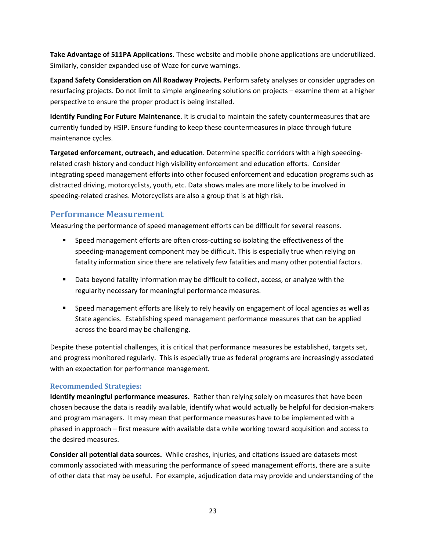**Take Advantage of 511PA Applications.** These website and mobile phone applications are underutilized. Similarly, consider expanded use of Waze for curve warnings.

**Expand Safety Consideration on All Roadway Projects.** Perform safety analyses or consider upgrades on resurfacing projects. Do not limit to simple engineering solutions on projects – examine them at a higher perspective to ensure the proper product is being installed.

**Identify Funding For Future Maintenance**. It is crucial to maintain the safety countermeasures that are currently funded by HSIP. Ensure funding to keep these countermeasures in place through future maintenance cycles.

**Targeted enforcement, outreach, and education**. Determine specific corridors with a high speedingrelated crash history and conduct high visibility enforcement and education efforts. Consider integrating speed management efforts into other focused enforcement and education programs such as distracted driving, motorcyclists, youth, etc. Data shows males are more likely to be involved in speeding-related crashes. Motorcyclists are also a group that is at high risk.

#### <span id="page-26-0"></span>**Performance Measurement**

Measuring the performance of speed management efforts can be difficult for several reasons.

- **Speed management efforts are often cross-cutting so isolating the effectiveness of the** speeding-management component may be difficult. This is especially true when relying on fatality information since there are relatively few fatalities and many other potential factors.
- Data beyond fatality information may be difficult to collect, access, or analyze with the regularity necessary for meaningful performance measures.
- Speed management efforts are likely to rely heavily on engagement of local agencies as well as State agencies. Establishing speed management performance measures that can be applied across the board may be challenging.

Despite these potential challenges, it is critical that performance measures be established, targets set, and progress monitored regularly. This is especially true as federal programs are increasingly associated with an expectation for performance management.

#### **Recommended Strategies:**

**Identify meaningful performance measures.** Rather than relying solely on measures that have been chosen because the data is readily available, identify what would actually be helpful for decision-makers and program managers. It may mean that performance measures have to be implemented with a phased in approach – first measure with available data while working toward acquisition and access to the desired measures.

**Consider all potential data sources.** While crashes, injuries, and citations issued are datasets most commonly associated with measuring the performance of speed management efforts, there are a suite of other data that may be useful. For example, adjudication data may provide and understanding of the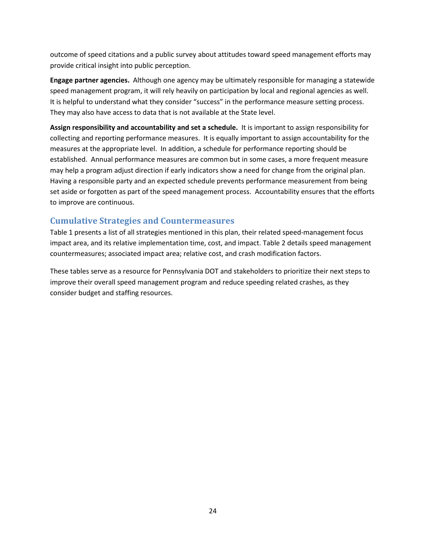outcome of speed citations and a public survey about attitudes toward speed management efforts may provide critical insight into public perception.

**Engage partner agencies.** Although one agency may be ultimately responsible for managing a statewide speed management program, it will rely heavily on participation by local and regional agencies as well. It is helpful to understand what they consider "success" in the performance measure setting process. They may also have access to data that is not available at the State level.

**Assign responsibility and accountability and set a schedule.** It is important to assign responsibility for collecting and reporting performance measures. It is equally important to assign accountability for the measures at the appropriate level. In addition, a schedule for performance reporting should be established. Annual performance measures are common but in some cases, a more frequent measure may help a program adjust direction if early indicators show a need for change from the original plan. Having a responsible party and an expected schedule prevents performance measurement from being set aside or forgotten as part of the speed management process. Accountability ensures that the efforts to improve are continuous.

#### **Cumulative Strategies and Countermeasures**

Table 1 presents a list of all strategies mentioned in this plan, their related speed-management focus impact area, and its relative implementation time, cost, and impact. Table 2 details speed management countermeasures; associated impact area; relative cost, and crash modification factors.

These tables serve as a resource for Pennsylvania DOT and stakeholders to prioritize their next steps to improve their overall speed management program and reduce speeding related crashes, as they consider budget and staffing resources.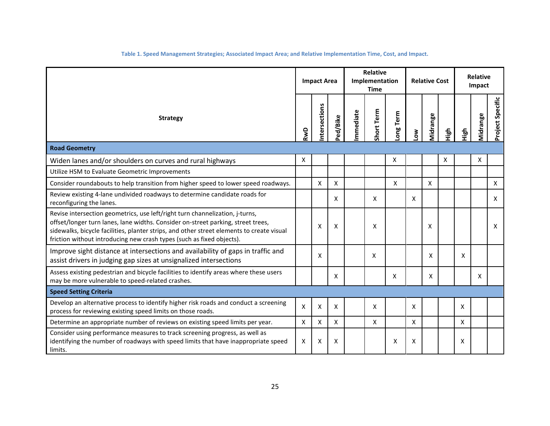| Table 1. Speed Management Strategies; Associated Impact Area; and Relative Implementation Time, Cost, and Impact. |  |  |  |
|-------------------------------------------------------------------------------------------------------------------|--|--|--|
|                                                                                                                   |  |  |  |

<span id="page-28-0"></span>

|                                                                                                                                                                                                                                                                                                                                        | <b>Relative</b><br>Implementation<br><b>Impact Area</b><br><b>Time</b> |              | <b>Relative Cost</b> |          |            | <b>Relative</b><br>Impact |              |          |      |              |          |                  |
|----------------------------------------------------------------------------------------------------------------------------------------------------------------------------------------------------------------------------------------------------------------------------------------------------------------------------------------|------------------------------------------------------------------------|--------------|----------------------|----------|------------|---------------------------|--------------|----------|------|--------------|----------|------------------|
| <b>Strategy</b>                                                                                                                                                                                                                                                                                                                        |                                                                        | ntersections | Ped/Bike             | mmediate | Short Term | Term<br>Long              | ŠΣ           | Midrange | Нigh | High         | Midrange | Project Specific |
| <b>Road Geometry</b>                                                                                                                                                                                                                                                                                                                   |                                                                        |              |                      |          |            |                           |              |          |      |              |          |                  |
| Widen lanes and/or shoulders on curves and rural highways                                                                                                                                                                                                                                                                              | $\mathsf{X}$                                                           |              |                      |          |            | X                         |              |          | Χ    |              | Χ        |                  |
| Utilize HSM to Evaluate Geometric Improvements                                                                                                                                                                                                                                                                                         |                                                                        |              |                      |          |            |                           |              |          |      |              |          |                  |
| Consider roundabouts to help transition from higher speed to lower speed roadways.                                                                                                                                                                                                                                                     |                                                                        | X            | X                    |          |            | $\mathsf{X}$              |              | X        |      |              |          | Χ                |
| Review existing 4-lane undivided roadways to determine candidate roads for<br>reconfiguring the lanes.                                                                                                                                                                                                                                 |                                                                        |              | X                    |          | X          |                           | $\mathsf{x}$ |          |      |              |          | x                |
| Revise intersection geometrics, use left/right turn channelization, j-turns,<br>offset/longer turn lanes, lane widths. Consider on-street parking, street trees,<br>sidewalks, bicycle facilities, planter strips, and other street elements to create visual<br>friction without introducing new crash types (such as fixed objects). |                                                                        | X            | X                    |          | X          |                           |              | X        |      |              |          | X                |
| Improve sight distance at intersections and availability of gaps in traffic and<br>assist drivers in judging gap sizes at unsignalized intersections                                                                                                                                                                                   |                                                                        | X            |                      |          | X          |                           |              | x        |      | X            |          |                  |
| Assess existing pedestrian and bicycle facilities to identify areas where these users<br>may be more vulnerable to speed-related crashes.                                                                                                                                                                                              |                                                                        |              | X                    |          |            | X                         |              | X        |      |              | X        |                  |
| <b>Speed Setting Criteria</b>                                                                                                                                                                                                                                                                                                          |                                                                        |              |                      |          |            |                           |              |          |      |              |          |                  |
| Develop an alternative process to identify higher risk roads and conduct a screening<br>process for reviewing existing speed limits on those roads.                                                                                                                                                                                    | X                                                                      | X            | X                    |          | x          |                           | $\mathsf{x}$ |          |      | X            |          |                  |
| Determine an appropriate number of reviews on existing speed limits per year.                                                                                                                                                                                                                                                          | X                                                                      | X            | X                    |          | X          |                           | $\mathsf{x}$ |          |      | $\mathsf{x}$ |          |                  |
| Consider using performance measures to track screening progress, as well as<br>identifying the number of roadways with speed limits that have inappropriate speed<br>limits.                                                                                                                                                           | X                                                                      | х            | Χ                    |          |            | Χ                         | X            |          |      | Χ            |          |                  |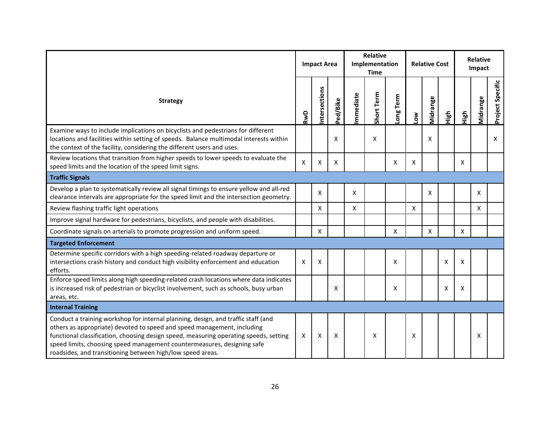|                                                                                                                                                                                                                                                                                                                                                                                                |              | <b>Impact Area</b> |          | <b>Relative</b><br>Implementation<br><b>Time</b> |            |           |     | <b>Relative Cost</b> |      | <b>Relative</b><br>Impact |          |                  |
|------------------------------------------------------------------------------------------------------------------------------------------------------------------------------------------------------------------------------------------------------------------------------------------------------------------------------------------------------------------------------------------------|--------------|--------------------|----------|--------------------------------------------------|------------|-----------|-----|----------------------|------|---------------------------|----------|------------------|
| <b>Strategy</b>                                                                                                                                                                                                                                                                                                                                                                                |              | ntersections       | Ped/Bike | mmediate                                         | Short Term | Long Term | Low | Midrange             | High | High                      | Midrange | Project Specific |
| Examine ways to include implications on bicyclists and pedestrians for different<br>locations and facilities within setting of speeds. Balance multimodal interests within<br>the context of the facility, considering the different users and uses.                                                                                                                                           |              |                    | x        |                                                  | X          |           |     | X                    |      |                           |          | X                |
| Review locations that transition from higher speeds to lower speeds to evaluate the<br>speed limits and the location of the speed limit signs.                                                                                                                                                                                                                                                 | $\mathsf{x}$ | X                  | X        |                                                  |            | X         | X   |                      |      | X                         |          |                  |
| <b>Traffic Signals</b>                                                                                                                                                                                                                                                                                                                                                                         |              |                    |          |                                                  |            |           |     |                      |      |                           |          |                  |
| Develop a plan to systematically review all signal timings to ensure yellow and all-red<br>clearance intervals are appropriate for the speed limit and the intersection geometry.                                                                                                                                                                                                              |              | X                  |          | X                                                |            |           |     | X                    |      |                           | X        |                  |
| Review flashing traffic light operations                                                                                                                                                                                                                                                                                                                                                       |              | X                  |          | X                                                |            |           | X   |                      |      |                           | X        |                  |
| Improve signal hardware for pedestrians, bicyclists, and people with disabilities.                                                                                                                                                                                                                                                                                                             |              |                    |          |                                                  |            |           |     |                      |      |                           |          |                  |
| Coordinate signals on arterials to promote progression and uniform speed.                                                                                                                                                                                                                                                                                                                      |              | X                  |          |                                                  |            | X         |     | X                    |      | X                         |          |                  |
| <b>Targeted Enforcement</b>                                                                                                                                                                                                                                                                                                                                                                    |              |                    |          |                                                  |            |           |     |                      |      |                           |          |                  |
| Determine specific corridors with a high speeding-related roadway departure or<br>intersections crash history and conduct high visibility enforcement and education<br>efforts.                                                                                                                                                                                                                | X            | Х                  |          |                                                  |            | x         |     |                      | Χ    | X                         |          |                  |
| Enforce speed limits along high speeding-related crash locations where data indicates<br>is increased risk of pedestrian or bicyclist involvement, such as schools, busy urban<br>areas, etc.                                                                                                                                                                                                  |              |                    | X        |                                                  |            | X         |     |                      | Χ    | X                         |          |                  |
| <b>Internal Training</b>                                                                                                                                                                                                                                                                                                                                                                       |              |                    |          |                                                  |            |           |     |                      |      |                           |          |                  |
| Conduct a training workshop for internal planning, design, and traffic staff (and<br>others as appropriate) devoted to speed and speed management, including<br>functional classification, choosing design speed, measuring operating speeds, setting<br>speed limits, choosing speed management countermeasures, designing safe<br>roadsides, and transitioning between high/low speed areas. | X            | Χ                  | Χ        |                                                  | х          |           | X   |                      |      |                           | х        |                  |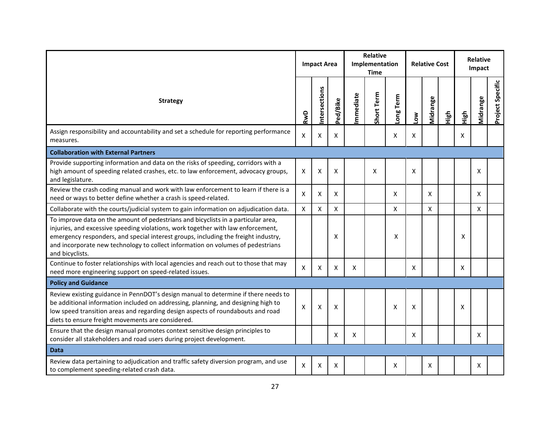|                                                                                                                                                                                                                                                                                                                                                                   | <b>Impact Area</b> |              |          |          | <b>Relative</b><br>Implementation<br><b>Time</b> |           |     | <b>Relative Cost</b> |      |      | Relative<br>Impact |                  |
|-------------------------------------------------------------------------------------------------------------------------------------------------------------------------------------------------------------------------------------------------------------------------------------------------------------------------------------------------------------------|--------------------|--------------|----------|----------|--------------------------------------------------|-----------|-----|----------------------|------|------|--------------------|------------------|
| <b>Strategy</b>                                                                                                                                                                                                                                                                                                                                                   | RwD                | ntersections | Ped/Bike | mmediate | Short Term                                       | Long Term | Μ٥η | Midrange             | High | High | Midrange           | Project Specific |
| Assign responsibility and accountability and set a schedule for reporting performance<br>measures.                                                                                                                                                                                                                                                                | Χ                  | X            | X        |          |                                                  | Χ         | Χ   |                      |      | x    |                    |                  |
| <b>Collaboration with External Partners</b>                                                                                                                                                                                                                                                                                                                       |                    |              |          |          |                                                  |           |     |                      |      |      |                    |                  |
| Provide supporting information and data on the risks of speeding, corridors with a<br>high amount of speeding related crashes, etc. to law enforcement, advocacy groups,<br>and legislature.                                                                                                                                                                      | X                  | X            | X        |          | X                                                |           | X   |                      |      |      | X                  |                  |
| Review the crash coding manual and work with law enforcement to learn if there is a<br>need or ways to better define whether a crash is speed-related.                                                                                                                                                                                                            | X                  | х            | X        |          |                                                  | Χ         |     | X                    |      |      | X                  |                  |
| Collaborate with the courts/judicial system to gain information on adjudication data.                                                                                                                                                                                                                                                                             | $\pmb{\times}$     | X            | X        |          |                                                  | X         |     | X                    |      |      | X                  |                  |
| To improve data on the amount of pedestrians and bicyclists in a particular area,<br>injuries, and excessive speeding violations, work together with law enforcement,<br>emergency responders, and special interest groups, including the freight industry,<br>and incorporate new technology to collect information on volumes of pedestrians<br>and bicyclists. |                    |              | Χ        |          |                                                  | X         |     |                      |      | X    |                    |                  |
| Continue to foster relationships with local agencies and reach out to those that may<br>need more engineering support on speed-related issues.                                                                                                                                                                                                                    | X                  | Χ            | X        | X        |                                                  |           | X   |                      |      | X    |                    |                  |
| <b>Policy and Guidance</b>                                                                                                                                                                                                                                                                                                                                        |                    |              |          |          |                                                  |           |     |                      |      |      |                    |                  |
| Review existing guidance in PennDOT's design manual to determine if there needs to<br>be additional information included on addressing, planning, and designing high to<br>low speed transition areas and regarding design aspects of roundabouts and road<br>diets to ensure freight movements are considered.                                                   | X                  | X            | X        |          |                                                  | X         | X   |                      |      | X    |                    |                  |
| Ensure that the design manual promotes context sensitive design principles to<br>consider all stakeholders and road users during project development.                                                                                                                                                                                                             |                    |              | X        | x        |                                                  |           | x   |                      |      |      | Χ                  |                  |
| <b>Data</b>                                                                                                                                                                                                                                                                                                                                                       |                    |              |          |          |                                                  |           |     |                      |      |      |                    |                  |
| Review data pertaining to adjudication and traffic safety diversion program, and use<br>to complement speeding-related crash data.                                                                                                                                                                                                                                | X                  | X            | X        |          |                                                  | X         |     | X                    |      |      | X                  |                  |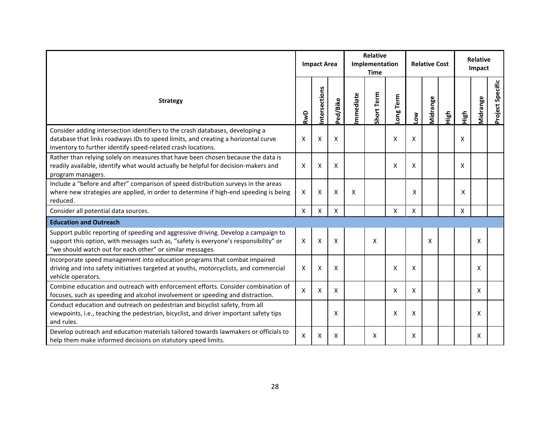|                                                                                                                                                                                                                                         | <b>Impact Area</b> |              |          |                  | <b>Relative</b><br>Implementation<br><b>Time</b> |           |     | <b>Relative Cost</b> |      | <b>Relative</b><br>Impact |          |                  |
|-----------------------------------------------------------------------------------------------------------------------------------------------------------------------------------------------------------------------------------------|--------------------|--------------|----------|------------------|--------------------------------------------------|-----------|-----|----------------------|------|---------------------------|----------|------------------|
| <b>Strategy</b>                                                                                                                                                                                                                         | RwD                | ntersections | Ped/Bike | <b>Immediate</b> | Short Term                                       | Long Term | Low | Midrange             | High | High                      | Vidrange | Project Specific |
| Consider adding intersection identifiers to the crash databases, developing a<br>database that links roadways IDs to speed limits, and creating a horizontal curve<br>inventory to further identify speed-related crash locations.      | $\mathsf{X}$       | X            | X        |                  |                                                  | X         | X   |                      |      | $\mathsf{X}$              |          |                  |
| Rather than relying solely on measures that have been chosen because the data is<br>readily available, identify what would actually be helpful for decision-makers and<br>program managers.                                             | X                  | X            | X        |                  |                                                  | X         | X   |                      |      | X                         |          |                  |
| Include a "before and after" comparison of speed distribution surveys in the areas<br>where new strategies are applied, in order to determine if high-end speeding is being<br>reduced.                                                 | X                  | X            | X        | X                |                                                  |           | X   |                      |      | X                         |          |                  |
| Consider all potential data sources.                                                                                                                                                                                                    | $\mathsf{X}$       | X            | X        |                  |                                                  | X         | X   |                      |      | $\mathsf{X}$              |          |                  |
| <b>Education and Outreach</b>                                                                                                                                                                                                           |                    |              |          |                  |                                                  |           |     |                      |      |                           |          |                  |
| Support public reporting of speeding and aggressive driving. Develop a campaign to<br>support this option, with messages such as, "safety is everyone's responsibility" or<br>"we should watch out for each other" or similar messages. | X                  | X            | X        |                  | X                                                |           |     | X                    |      |                           | X        |                  |
| Incorporate speed management into education programs that combat impaired<br>driving and into safety initiatives targeted at youths, motorcyclists, and commercial<br>vehicle operators.                                                | Χ                  | х            | X        |                  |                                                  | X         | X   |                      |      |                           | X        |                  |
| Combine education and outreach with enforcement efforts. Consider combination of<br>focuses, such as speeding and alcohol involvement or speeding and distraction.                                                                      | $\pmb{\mathsf{X}}$ | X            | Χ        |                  |                                                  | X         | X   |                      |      |                           | X        |                  |
| Conduct education and outreach on pedestrian and bicyclist safety, from all<br>viewpoints, i.e., teaching the pedestrian, bicyclist, and driver important safety tips<br>and rules.                                                     |                    |              | x        |                  |                                                  | X         | X   |                      |      |                           | X        |                  |
| Develop outreach and education materials tailored towards lawmakers or officials to<br>help them make informed decisions on statutory speed limits.                                                                                     | X                  | X            | X        |                  | X                                                |           | X   |                      |      |                           | X        |                  |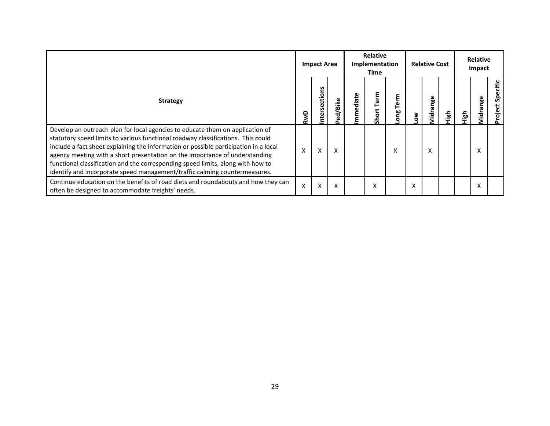|                                                                                                                                                                                                                                                                                                                                                                                                                                                                                                           | <b>Impact Area</b> |                         |              |          | <b>Relative</b><br>Implementation<br>Time |                |   | <b>Relative Cost</b> |   | <b>Relative</b><br>Impact |              |                     |
|-----------------------------------------------------------------------------------------------------------------------------------------------------------------------------------------------------------------------------------------------------------------------------------------------------------------------------------------------------------------------------------------------------------------------------------------------------------------------------------------------------------|--------------------|-------------------------|--------------|----------|-------------------------------------------|----------------|---|----------------------|---|---------------------------|--------------|---------------------|
| <b>Strategy</b>                                                                                                                                                                                                                                                                                                                                                                                                                                                                                           | RwD                | ctions<br><b>Inters</b> | /Bike<br>ಕ್ಷ | mmediate | Term<br>Short                             | ξ<br>قم<br>ong | š | Midrange             | 을 | High                      | nge<br>Midra | Specific<br>Project |
| Develop an outreach plan for local agencies to educate them on application of<br>statutory speed limits to various functional roadway classifications. This could<br>include a fact sheet explaining the information or possible participation in a local<br>agency meeting with a short presentation on the importance of understanding<br>functional classification and the corresponding speed limits, along with how to<br>identify and incorporate speed management/traffic calming countermeasures. | X                  | X                       | X            |          |                                           | X              |   | x                    |   |                           | x            |                     |
| Continue education on the benefits of road diets and roundabouts and how they can<br>often be designed to accommodate freights' needs.                                                                                                                                                                                                                                                                                                                                                                    | X                  | X                       | X            |          | X                                         |                | X |                      |   |                           |              |                     |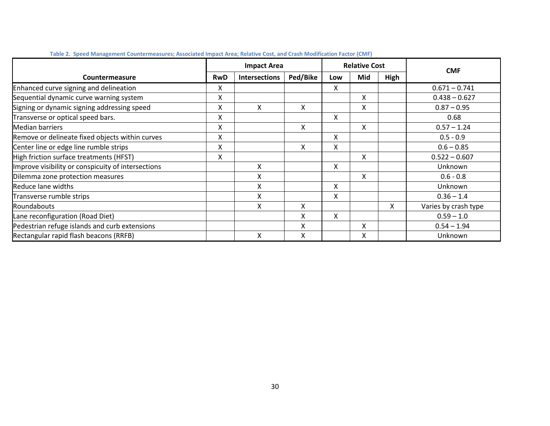<span id="page-33-0"></span>

|                                                    |            | <b>Impact Area</b>   |          | <b>Relative Cost</b> |     |      | <b>CMF</b>           |
|----------------------------------------------------|------------|----------------------|----------|----------------------|-----|------|----------------------|
| Countermeasure                                     | <b>RwD</b> | <b>Intersections</b> | Ped/Bike | Low                  | Mid | High |                      |
| Enhanced curve signing and delineation             | x          |                      |          | X                    |     |      | $0.671 - 0.741$      |
| Sequential dynamic curve warning system            | Χ          |                      |          |                      | X   |      | $0.438 - 0.627$      |
| Signing or dynamic signing addressing speed        | Χ          | X                    | X        |                      | X   |      | $0.87 - 0.95$        |
| Transverse or optical speed bars.                  | Χ          |                      |          | X                    |     |      | 0.68                 |
| <b>Median barriers</b>                             | Χ          |                      | X        |                      | X   |      | $0.57 - 1.24$        |
| Remove or delineate fixed objects within curves    | Χ          |                      |          | X                    |     |      | $0.5 - 0.9$          |
| Center line or edge line rumble strips             | X          |                      | X        | X                    |     |      | $0.6 - 0.85$         |
| High friction surface treatments (HFST)            | X          |                      |          |                      | X   |      | $0.522 - 0.607$      |
| Improve visibility or conspicuity of intersections |            | X                    |          | X                    |     |      | Unknown              |
| Dilemma zone protection measures                   |            | X                    |          |                      | X   |      | $0.6 - 0.8$          |
| Reduce lane widths                                 |            | X                    |          | X                    |     |      | Unknown              |
| Transverse rumble strips                           |            | X                    |          | X                    |     |      | $0.36 - 1.4$         |
| <b>Roundabouts</b>                                 |            | X                    | X        |                      |     | X    | Varies by crash type |
| Lane reconfiguration (Road Diet)                   |            |                      | X        | X                    |     |      | $0.59 - 1.0$         |
| Pedestrian refuge islands and curb extensions      |            |                      | X        |                      | x   |      | $0.54 - 1.94$        |
| Rectangular rapid flash beacons (RRFB)             |            | X                    | X        |                      | x   |      | Unknown              |

#### **Table 2. Speed Management Countermeasures; Associated Impact Area; Relative Cost, and Crash Modification Factor (CMF)**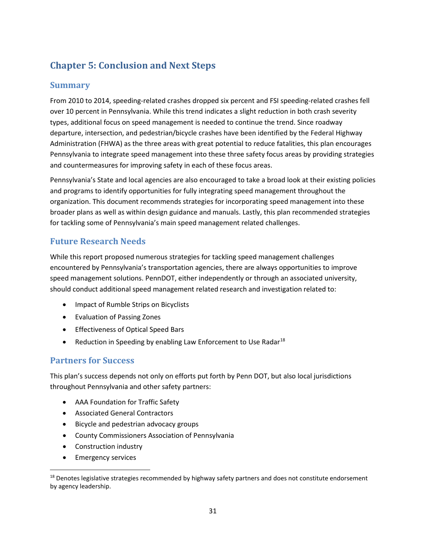## <span id="page-34-0"></span>**Chapter 5: Conclusion and Next Steps**

## <span id="page-34-1"></span>**Summary**

From 2010 to 2014, speeding-related crashes dropped six percent and FSI speeding-related crashes fell over 10 percent in Pennsylvania. While this trend indicates a slight reduction in both crash severity types, additional focus on speed management is needed to continue the trend. Since roadway departure, intersection, and pedestrian/bicycle crashes have been identified by the Federal Highway Administration (FHWA) as the three areas with great potential to reduce fatalities, this plan encourages Pennsylvania to integrate speed management into these three safety focus areas by providing strategies and countermeasures for improving safety in each of these focus areas.

Pennsylvania's State and local agencies are also encouraged to take a broad look at their existing policies and programs to identify opportunities for fully integrating speed management throughout the organization. This document recommends strategies for incorporating speed management into these broader plans as well as within design guidance and manuals. Lastly, this plan recommended strategies for tackling some of Pennsylvania's main speed management related challenges.

## <span id="page-34-2"></span>**Future Research Needs**

While this report proposed numerous strategies for tackling speed management challenges encountered by Pennsylvania's transportation agencies, there are always opportunities to improve speed management solutions. PennDOT, either independently or through an associated university, should conduct additional speed management related research and investigation related to:

- Impact of Rumble Strips on Bicyclists
- Evaluation of Passing Zones
- Effectiveness of Optical Speed Bars
- Reduction in Speeding by enabling Law Enforcement to Use Radar $^{18}$  $^{18}$  $^{18}$

## <span id="page-34-3"></span>**Partners for Success**

This plan's success depends not only on efforts put forth by Penn DOT, but also local jurisdictions throughout Pennsylvania and other safety partners:

- AAA Foundation for Traffic Safety
- Associated General Contractors
- Bicycle and pedestrian advocacy groups
- County Commissioners Association of Pennsylvania
- Construction industry
- Emergency services

<span id="page-34-4"></span><sup>&</sup>lt;sup>18</sup> Denotes legislative strategies recommended by highway safety partners and does not constitute endorsement by agency leadership.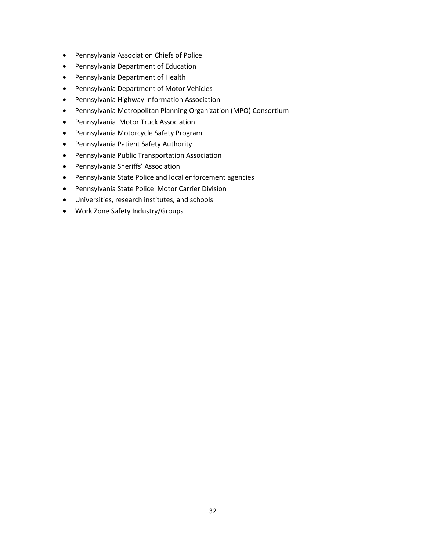- Pennsylvania Association Chiefs of Police
- Pennsylvania Department of Education
- Pennsylvania Department of Health
- Pennsylvania Department of Motor Vehicles
- Pennsylvania Highway Information Association
- Pennsylvania Metropolitan Planning Organization (MPO) Consortium
- Pennsylvania Motor Truck Association
- Pennsylvania Motorcycle Safety Program
- Pennsylvania Patient Safety Authority
- Pennsylvania Public Transportation Association
- Pennsylvania Sheriffs' Association
- Pennsylvania State Police and local enforcement agencies
- Pennsylvania State Police Motor Carrier Division
- Universities, research institutes, and schools
- Work Zone Safety Industry/Groups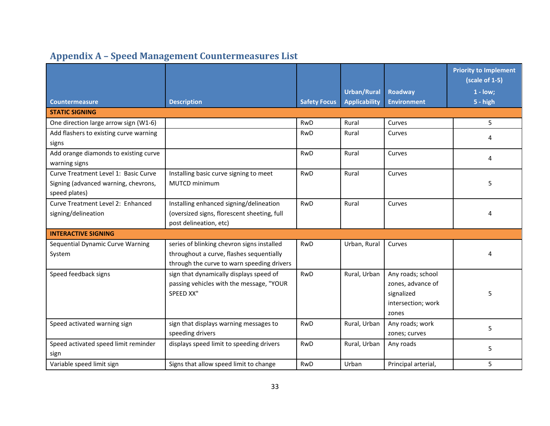<span id="page-36-0"></span>

|                                                                                               |                                                                                                                                      |                     | <b>Urban/Rural</b>   | <b>Roadway</b>                                                                      | <b>Priority to Implement</b><br>(scale of 1-5)<br>$1 - low;$ |
|-----------------------------------------------------------------------------------------------|--------------------------------------------------------------------------------------------------------------------------------------|---------------------|----------------------|-------------------------------------------------------------------------------------|--------------------------------------------------------------|
| <b>Countermeasure</b>                                                                         | <b>Description</b>                                                                                                                   | <b>Safety Focus</b> | <b>Applicability</b> | <b>Environment</b>                                                                  | $5 - high$                                                   |
| <b>STATIC SIGNING</b>                                                                         |                                                                                                                                      |                     |                      |                                                                                     |                                                              |
| One direction large arrow sign (W1-6)                                                         |                                                                                                                                      | <b>RwD</b>          | Rural                | Curves                                                                              | 5                                                            |
| Add flashers to existing curve warning<br>signs                                               |                                                                                                                                      | <b>RwD</b>          | Rural                | Curves                                                                              | 4                                                            |
| Add orange diamonds to existing curve<br>warning signs                                        |                                                                                                                                      | <b>RwD</b>          | Rural                | Curves                                                                              | 4                                                            |
| Curve Treatment Level 1: Basic Curve<br>Signing (advanced warning, chevrons,<br>speed plates) | Installing basic curve signing to meet<br>MUTCD minimum                                                                              | <b>RwD</b>          | Rural                | Curves                                                                              | 5                                                            |
| Curve Treatment Level 2: Enhanced<br>signing/delineation                                      | Installing enhanced signing/delineation<br>(oversized signs, florescent sheeting, full<br>post delineation, etc)                     | <b>RwD</b>          | Rural                | Curves                                                                              | 4                                                            |
| <b>INTERACTIVE SIGNING</b>                                                                    |                                                                                                                                      |                     |                      |                                                                                     |                                                              |
| Sequential Dynamic Curve Warning<br>System                                                    | series of blinking chevron signs installed<br>throughout a curve, flashes sequentially<br>through the curve to warn speeding drivers | <b>RwD</b>          | Urban, Rural         | Curves                                                                              | 4                                                            |
| Speed feedback signs                                                                          | sign that dynamically displays speed of<br>passing vehicles with the message, "YOUR<br>SPEED XX"                                     | RwD                 | Rural, Urban         | Any roads; school<br>zones, advance of<br>signalized<br>intersection; work<br>zones | 5                                                            |
| Speed activated warning sign                                                                  | sign that displays warning messages to<br>speeding drivers                                                                           | <b>RwD</b>          | Rural, Urban         | Any roads; work<br>zones; curves                                                    | 5                                                            |
| Speed activated speed limit reminder<br>sign                                                  | displays speed limit to speeding drivers                                                                                             | <b>RwD</b>          | Rural, Urban         | Any roads                                                                           | 5                                                            |
| Variable speed limit sign                                                                     | Signs that allow speed limit to change                                                                                               | <b>RwD</b>          | Urban                | Principal arterial,                                                                 | 5                                                            |

## **Appendix A – Speed Management Countermeasures List**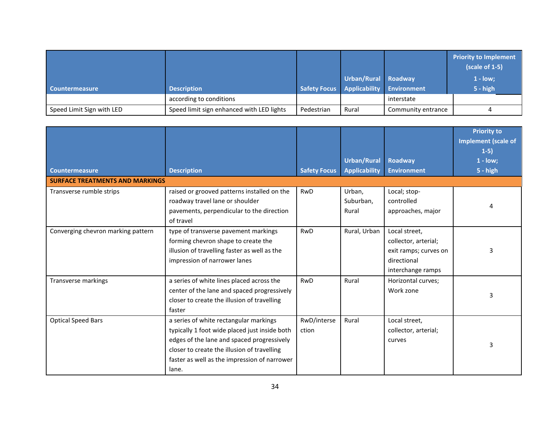|                           |                                           |            |                     |                                        | <b>Priority to Implement</b><br>(scale of 1-5) |
|---------------------------|-------------------------------------------|------------|---------------------|----------------------------------------|------------------------------------------------|
|                           |                                           |            | Urban/Rural Roadway |                                        | $1 - low;$                                     |
| Countermeasure            | <b>Description</b>                        |            |                     | Safety Focus Applicability Environment | $5 - high$                                     |
|                           | according to conditions                   |            |                     | interstate                             |                                                |
| Speed Limit Sign with LED | Speed limit sign enhanced with LED lights | Pedestrian | Rural               | Community entrance                     |                                                |

|                                        |                                               |                     |                      |                       | <b>Priority to</b><br><b>Implement (scale of</b><br>$1-5)$ |
|----------------------------------------|-----------------------------------------------|---------------------|----------------------|-----------------------|------------------------------------------------------------|
|                                        |                                               |                     | <b>Urban/Rural</b>   | Roadway               | $1 - low;$                                                 |
| <b>Countermeasure</b>                  | <b>Description</b>                            | <b>Safety Focus</b> | <b>Applicability</b> | <b>Environment</b>    | 5 - high                                                   |
| <b>SURFACE TREATMENTS AND MARKINGS</b> |                                               |                     |                      |                       |                                                            |
| Transverse rumble strips               | raised or grooved patterns installed on the   | <b>RwD</b>          | Urban,               | Local; stop-          |                                                            |
|                                        | roadway travel lane or shoulder               |                     | Suburban,            | controlled            |                                                            |
|                                        | pavements, perpendicular to the direction     |                     | Rural                | approaches, major     |                                                            |
|                                        | of travel                                     |                     |                      |                       |                                                            |
| Converging chevron marking pattern     | type of transverse pavement markings          | <b>RwD</b>          | Rural, Urban         | Local street,         |                                                            |
|                                        | forming chevron shape to create the           |                     |                      | collector, arterial;  |                                                            |
|                                        | illusion of travelling faster as well as the  |                     |                      | exit ramps; curves on | 3                                                          |
|                                        | impression of narrower lanes                  |                     |                      | directional           |                                                            |
|                                        |                                               |                     |                      | interchange ramps     |                                                            |
| Transverse markings                    | a series of white lines placed across the     | <b>RwD</b>          | Rural                | Horizontal curves;    |                                                            |
|                                        | center of the lane and spaced progressively   |                     |                      | Work zone             |                                                            |
|                                        | closer to create the illusion of travelling   |                     |                      |                       | 3                                                          |
|                                        | faster                                        |                     |                      |                       |                                                            |
| <b>Optical Speed Bars</b>              | a series of white rectangular markings        | RwD/interse         | Rural                | Local street,         |                                                            |
|                                        | typically 1 foot wide placed just inside both | ction               |                      | collector, arterial;  |                                                            |
|                                        | edges of the lane and spaced progressively    |                     |                      | curves                |                                                            |
|                                        | closer to create the illusion of travelling   |                     |                      |                       | 3                                                          |
|                                        | faster as well as the impression of narrower  |                     |                      |                       |                                                            |
|                                        | lane.                                         |                     |                      |                       |                                                            |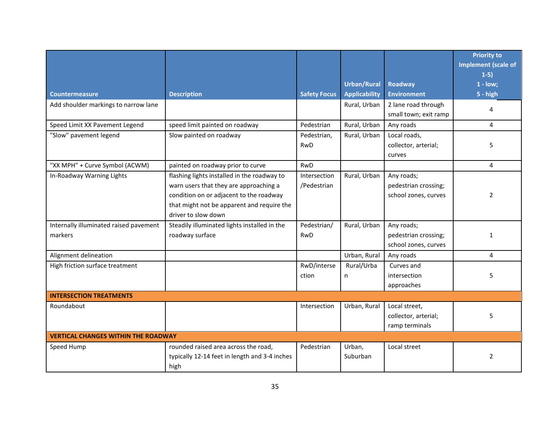|                                                   |                                                                                                                                                                                                       |                             |                                            |                                                            | <b>Priority to</b><br><b>Implement (scale of</b><br>$1-5)$ |  |
|---------------------------------------------------|-------------------------------------------------------------------------------------------------------------------------------------------------------------------------------------------------------|-----------------------------|--------------------------------------------|------------------------------------------------------------|------------------------------------------------------------|--|
| <b>Countermeasure</b>                             | <b>Description</b>                                                                                                                                                                                    | <b>Safety Focus</b>         | <b>Urban/Rural</b><br><b>Applicability</b> | <b>Roadway</b><br><b>Environment</b>                       | $1 - low;$<br>$5 - high$                                   |  |
| Add shoulder markings to narrow lane              |                                                                                                                                                                                                       |                             | Rural, Urban                               | 2 lane road through<br>small town; exit ramp               | 4                                                          |  |
| Speed Limit XX Pavement Legend                    | speed limit painted on roadway                                                                                                                                                                        | Pedestrian                  | Rural, Urban                               | Any roads                                                  | 4                                                          |  |
| "Slow" pavement legend                            | Slow painted on roadway                                                                                                                                                                               | Pedestrian,<br>RwD          | Rural, Urban                               | Local roads,<br>collector, arterial;<br>curves             | 5                                                          |  |
| "XX MPH" + Curve Symbol (ACWM)                    | painted on roadway prior to curve                                                                                                                                                                     | <b>RwD</b>                  |                                            |                                                            | 4                                                          |  |
| In-Roadway Warning Lights                         | flashing lights installed in the roadway to<br>warn users that they are approaching a<br>condition on or adjacent to the roadway<br>that might not be apparent and require the<br>driver to slow down | Intersection<br>/Pedestrian | Rural, Urban                               | Any roads;<br>pedestrian crossing;<br>school zones, curves | $\overline{2}$                                             |  |
| Internally illuminated raised pavement<br>markers | Steadily illuminated lights installed in the<br>roadway surface                                                                                                                                       | Pedestrian/<br>RwD          | Rural, Urban                               | Any roads;<br>pedestrian crossing;<br>school zones, curves | 1                                                          |  |
| Alignment delineation                             |                                                                                                                                                                                                       |                             | Urban, Rural                               | Any roads                                                  | 4                                                          |  |
| High friction surface treatment                   |                                                                                                                                                                                                       | RwD/interse<br>ction        | Rural/Urba<br>n                            | Curves and<br>intersection<br>approaches                   | 5                                                          |  |
| <b>INTERSECTION TREATMENTS</b>                    |                                                                                                                                                                                                       |                             |                                            |                                                            |                                                            |  |
| Roundabout                                        |                                                                                                                                                                                                       | Intersection                | Urban, Rural                               | Local street,<br>collector, arterial;<br>ramp terminals    | 5                                                          |  |
| <b>VERTICAL CHANGES WITHIN THE ROADWAY</b>        |                                                                                                                                                                                                       |                             |                                            |                                                            |                                                            |  |
| Speed Hump                                        | rounded raised area across the road,<br>typically 12-14 feet in length and 3-4 inches<br>high                                                                                                         | Pedestrian                  | Urban,<br>Suburban                         | Local street                                               | 2                                                          |  |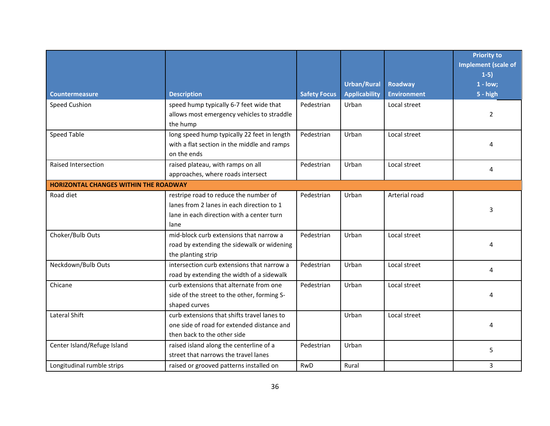|                                              |                                             |                     |                      |                    | <b>Priority to</b><br><b>Implement (scale of</b><br>$1-5)$ |
|----------------------------------------------|---------------------------------------------|---------------------|----------------------|--------------------|------------------------------------------------------------|
|                                              |                                             |                     | <b>Urban/Rural</b>   | <b>Roadway</b>     | $1 - low;$                                                 |
| <b>Countermeasure</b>                        | <b>Description</b>                          | <b>Safety Focus</b> | <b>Applicability</b> | <b>Environment</b> | $5 - high$                                                 |
| <b>Speed Cushion</b>                         | speed hump typically 6-7 feet wide that     | Pedestrian          | Urban                | Local street       |                                                            |
|                                              | allows most emergency vehicles to straddle  |                     |                      |                    | $\overline{2}$                                             |
|                                              | the hump                                    |                     |                      |                    |                                                            |
| <b>Speed Table</b>                           | long speed hump typically 22 feet in length | Pedestrian          | Urban                | Local street       |                                                            |
|                                              | with a flat section in the middle and ramps |                     |                      |                    | 4                                                          |
|                                              | on the ends                                 |                     |                      |                    |                                                            |
| Raised Intersection                          | raised plateau, with ramps on all           | Pedestrian          | Urban                | Local street       |                                                            |
|                                              | approaches, where roads intersect           |                     |                      |                    | 4                                                          |
| <b>HORIZONTAL CHANGES WITHIN THE ROADWAY</b> |                                             |                     |                      |                    |                                                            |
| Road diet                                    | restripe road to reduce the number of       | Pedestrian          | Urban                | Arterial road      |                                                            |
|                                              | lanes from 2 lanes in each direction to 1   |                     |                      |                    | 3                                                          |
|                                              | lane in each direction with a center turn   |                     |                      |                    |                                                            |
|                                              | lane                                        |                     |                      |                    |                                                            |
| Choker/Bulb Outs                             | mid-block curb extensions that narrow a     | Pedestrian          | Urban                | Local street       |                                                            |
|                                              | road by extending the sidewalk or widening  |                     |                      |                    | 4                                                          |
|                                              | the planting strip                          |                     |                      |                    |                                                            |
| Neckdown/Bulb Outs                           | intersection curb extensions that narrow a  | Pedestrian          | Urban                | Local street       | 4                                                          |
|                                              | road by extending the width of a sidewalk   |                     |                      |                    |                                                            |
| Chicane                                      | curb extensions that alternate from one     | Pedestrian          | Urban                | Local street       |                                                            |
|                                              | side of the street to the other, forming S- |                     |                      |                    | 4                                                          |
|                                              | shaped curves                               |                     |                      |                    |                                                            |
| Lateral Shift                                | curb extensions that shifts travel lanes to |                     | Urban                | Local street       |                                                            |
|                                              | one side of road for extended distance and  |                     |                      |                    | 4                                                          |
|                                              | then back to the other side                 |                     |                      |                    |                                                            |
| Center Island/Refuge Island                  | raised island along the centerline of a     | Pedestrian          | Urban                |                    | 5                                                          |
|                                              | street that narrows the travel lanes        |                     |                      |                    |                                                            |
| Longitudinal rumble strips                   | raised or grooved patterns installed on     | <b>RwD</b>          | Rural                |                    | 3                                                          |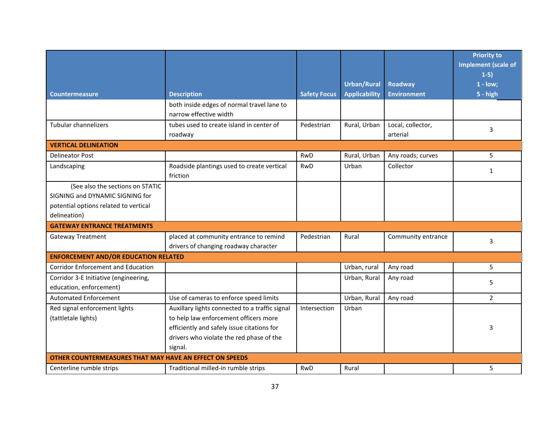|                                                         |                                                                      |                     |                      |                    | <b>Priority to</b><br><b>Implement (scale of</b> |
|---------------------------------------------------------|----------------------------------------------------------------------|---------------------|----------------------|--------------------|--------------------------------------------------|
|                                                         |                                                                      |                     |                      |                    | $1-5)$                                           |
|                                                         |                                                                      |                     | <b>Urban/Rural</b>   | <b>Roadway</b>     | $1 - low;$                                       |
| <b>Countermeasure</b>                                   | <b>Description</b>                                                   | <b>Safety Focus</b> | <b>Applicability</b> | <b>Environment</b> | $5 - high$                                       |
|                                                         | both inside edges of normal travel lane to<br>narrow effective width |                     |                      |                    |                                                  |
| Tubular channelizers                                    | tubes used to create island in center of                             | Pedestrian          | Rural, Urban         | Local, collector,  | 3                                                |
|                                                         | roadway                                                              |                     |                      | arterial           |                                                  |
| <b>VERTICAL DELINEATION</b>                             |                                                                      |                     |                      |                    |                                                  |
| <b>Delineator Post</b>                                  |                                                                      | <b>RwD</b>          | Rural, Urban         | Any roads; curves  | 5                                                |
| Landscaping                                             | Roadside plantings used to create vertical                           | <b>RwD</b>          | Urban                | Collector          | $\mathbf{1}$                                     |
|                                                         | friction                                                             |                     |                      |                    |                                                  |
| (See also the sections on STATIC                        |                                                                      |                     |                      |                    |                                                  |
| SIGNING and DYNAMIC SIGNING for                         |                                                                      |                     |                      |                    |                                                  |
| potential options related to vertical                   |                                                                      |                     |                      |                    |                                                  |
| delineation)                                            |                                                                      |                     |                      |                    |                                                  |
| <b>GATEWAY ENTRANCE TREATMENTS</b>                      |                                                                      |                     |                      |                    |                                                  |
| <b>Gateway Treatment</b>                                | placed at community entrance to remind                               | Pedestrian          | Rural                | Community entrance | 3                                                |
|                                                         | drivers of changing roadway character                                |                     |                      |                    |                                                  |
| <b>ENFORCEMENT AND/OR EDUCATION RELATED</b>             |                                                                      |                     |                      |                    |                                                  |
| <b>Corridor Enforcement and Education</b>               |                                                                      |                     | Urban, rural         | Any road           | 5                                                |
| Corridor 3-E Initiative (engineering,                   |                                                                      |                     | Urban, Rural         | Any road           | 5                                                |
| education, enforcement)                                 |                                                                      |                     |                      |                    |                                                  |
| <b>Automated Enforcement</b>                            | Use of cameras to enforce speed limits                               |                     | Urban, Rural         | Any road           | $\overline{2}$                                   |
| Red signal enforcement lights                           | Auxillary lights connected to a traffic signal                       | Intersection        | Urban                |                    |                                                  |
| (tattletale lights)                                     | to help law enforcement officers more                                |                     |                      |                    |                                                  |
|                                                         | efficiently and safely issue citations for                           |                     |                      |                    | 3                                                |
|                                                         | drivers who violate the red phase of the                             |                     |                      |                    |                                                  |
|                                                         | signal.                                                              |                     |                      |                    |                                                  |
| OTHER COUNTERMEASURES THAT MAY HAVE AN EFFECT ON SPEEDS |                                                                      |                     |                      |                    |                                                  |
| Centerline rumble strips                                | Traditional milled-in rumble strips                                  | <b>RwD</b>          | Rural                |                    | 5                                                |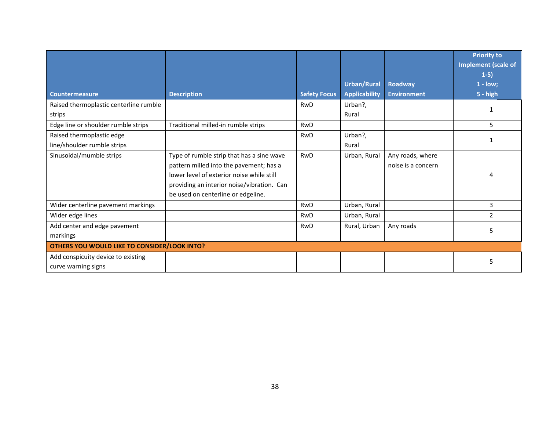|                                                     |                                            |                     |                      |                    | <b>Priority to</b><br><b>Implement (scale of</b> |
|-----------------------------------------------------|--------------------------------------------|---------------------|----------------------|--------------------|--------------------------------------------------|
|                                                     |                                            |                     |                      |                    | $1-5)$                                           |
|                                                     |                                            |                     | <b>Urban/Rural</b>   | Roadway            | $1 - low;$                                       |
| <b>Countermeasure</b>                               | <b>Description</b>                         | <b>Safety Focus</b> | <b>Applicability</b> | <b>Environment</b> | 5 - high                                         |
| Raised thermoplastic centerline rumble              |                                            | <b>RwD</b>          | Urban?,              |                    |                                                  |
| strips                                              |                                            |                     | Rural                |                    |                                                  |
| Edge line or shoulder rumble strips                 | Traditional milled-in rumble strips        | RwD                 |                      |                    | 5.                                               |
| Raised thermoplastic edge                           |                                            | <b>RwD</b>          | Urban?,              |                    |                                                  |
| line/shoulder rumble strips                         |                                            |                     | Rural                |                    |                                                  |
| Sinusoidal/mumble strips                            | Type of rumble strip that has a sine wave  | <b>RwD</b>          | Urban, Rural         | Any roads, where   |                                                  |
|                                                     | pattern milled into the pavement; has a    |                     |                      | noise is a concern |                                                  |
|                                                     | lower level of exterior noise while still  |                     |                      |                    |                                                  |
|                                                     | providing an interior noise/vibration. Can |                     |                      |                    |                                                  |
|                                                     | be used on centerline or edgeline.         |                     |                      |                    |                                                  |
| Wider centerline pavement markings                  |                                            | <b>RwD</b>          | Urban, Rural         |                    | 3                                                |
| Wider edge lines                                    |                                            | <b>RwD</b>          | Urban, Rural         |                    | $\overline{2}$                                   |
| Add center and edge pavement                        |                                            | <b>RwD</b>          | Rural, Urban         | Any roads          |                                                  |
| markings                                            |                                            |                     |                      |                    | 5.                                               |
| <b>OTHERS YOU WOULD LIKE TO CONSIDER/LOOK INTO?</b> |                                            |                     |                      |                    |                                                  |
| Add conspicuity device to existing                  |                                            |                     |                      |                    | 5                                                |
| curve warning signs                                 |                                            |                     |                      |                    |                                                  |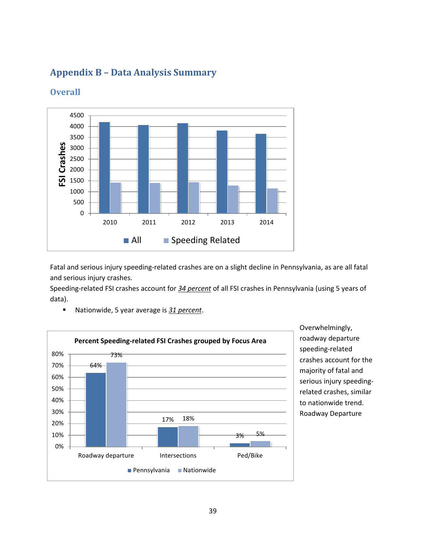## **Appendix B – Data Analysis Summary**



#### <span id="page-42-0"></span>**Overall**

Fatal and serious injury speeding-related crashes are on a slight decline in Pennsylvania, as are all fatal and serious injury crashes.

Speeding-related FSI crashes account for *34 percent* of all FSI crashes in Pennsylvania (using 5 years of data).



■ Nationwide, 5 year average is 31 percent.

Overwhelmingly, roadway departure speeding-related crashes account for the majority of fatal and serious injury speedingrelated crashes, similar to nationwide trend. Roadway Departure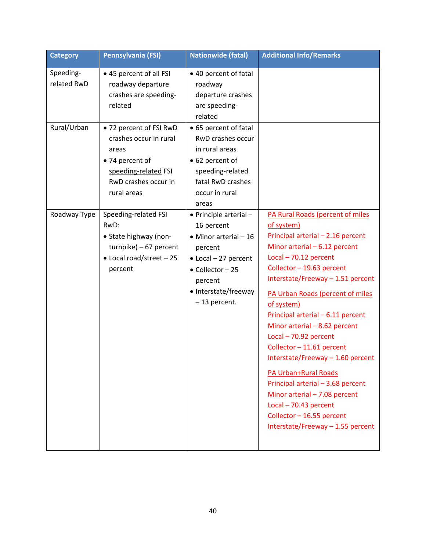| <b>Category</b>                                         | Pennsylvania (FSI)                                                                                                                                                                                                                                                                                                                                           | <b>Nationwide (fatal)</b>                                                                                                                                                                                                                                                                                                                                                           | <b>Additional Info/Remarks</b>                                                                                                                                                                                                                                                                                                                                                                                |
|---------------------------------------------------------|--------------------------------------------------------------------------------------------------------------------------------------------------------------------------------------------------------------------------------------------------------------------------------------------------------------------------------------------------------------|-------------------------------------------------------------------------------------------------------------------------------------------------------------------------------------------------------------------------------------------------------------------------------------------------------------------------------------------------------------------------------------|---------------------------------------------------------------------------------------------------------------------------------------------------------------------------------------------------------------------------------------------------------------------------------------------------------------------------------------------------------------------------------------------------------------|
| Speeding-<br>related RwD<br>Rural/Urban<br>Roadway Type | • 45 percent of all FSI<br>roadway departure<br>crashes are speeding-<br>related<br>• 72 percent of FSI RwD<br>crashes occur in rural<br>areas<br>• 74 percent of<br>speeding-related FSI<br>RwD crashes occur in<br>rural areas<br>Speeding-related FSI<br>RwD:<br>• State highway (non-<br>$turnpike) - 67 percent$<br>• Local road/street - 25<br>percent | • 40 percent of fatal<br>roadway<br>departure crashes<br>are speeding-<br>related<br>• 65 percent of fatal<br>RwD crashes occur<br>in rural areas<br>• 62 percent of<br>speeding-related<br>fatal RwD crashes<br>occur in rural<br>areas<br>• Principle arterial -<br>16 percent<br>$\bullet$ Minor arterial - 16<br>percent<br>• Local - 27 percent<br>• Collector - 25<br>percent | PA Rural Roads (percent of miles<br>of system)<br>Principal arterial - 2.16 percent<br>Minor arterial $-6.12$ percent<br>$Local - 70.12 percent$<br>Collector - 19.63 percent<br>Interstate/Freeway - 1.51 percent                                                                                                                                                                                            |
|                                                         |                                                                                                                                                                                                                                                                                                                                                              | • Interstate/freeway<br>-13 percent.                                                                                                                                                                                                                                                                                                                                                | PA Urban Roads (percent of miles<br>of system)<br>Principal arterial - 6.11 percent<br>Minor arterial $-8.62$ percent<br>$Local - 70.92 percent$<br>Collector - 11.61 percent<br>Interstate/Freeway - 1.60 percent<br>PA Urban+Rural Roads<br>Principal arterial - 3.68 percent<br>Minor arterial - 7.08 percent<br>$Local - 70.43 percent$<br>Collector - 16.55 percent<br>Interstate/Freeway - 1.55 percent |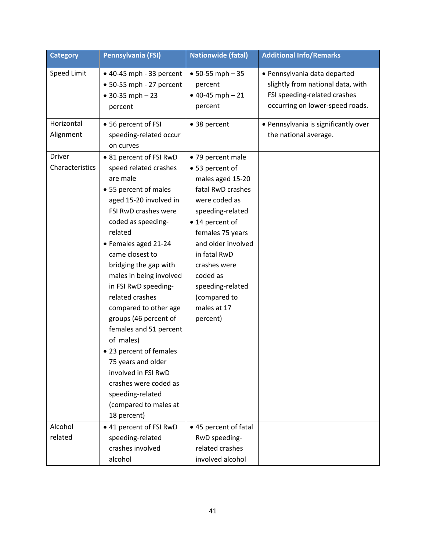| <b>Category</b>           | Pennsylvania (FSI)                                                                                                                                                                                                                                                                                                                                                                                                                                                                                                                                                       | <b>Nationwide (fatal)</b>                                                                                                                                                                                                                                                                  | <b>Additional Info/Remarks</b>                                                                                                                                               |
|---------------------------|--------------------------------------------------------------------------------------------------------------------------------------------------------------------------------------------------------------------------------------------------------------------------------------------------------------------------------------------------------------------------------------------------------------------------------------------------------------------------------------------------------------------------------------------------------------------------|--------------------------------------------------------------------------------------------------------------------------------------------------------------------------------------------------------------------------------------------------------------------------------------------|------------------------------------------------------------------------------------------------------------------------------------------------------------------------------|
| Speed Limit<br>Horizontal | $\bullet$ 40-45 mph - 33 percent<br>$\bullet$ 50-55 mph - 27 percent<br>$• 30-35 mph - 23$<br>percent<br>• 56 percent of FSI                                                                                                                                                                                                                                                                                                                                                                                                                                             | $• 50-55 mph - 35$<br>percent<br>$• 40-45 mph - 21$<br>percent<br>• 38 percent                                                                                                                                                                                                             | · Pennsylvania data departed<br>slightly from national data, with<br>FSI speeding-related crashes<br>occurring on lower-speed roads.<br>· Pennsylvania is significantly over |
| Alignment                 | speeding-related occur<br>on curves                                                                                                                                                                                                                                                                                                                                                                                                                                                                                                                                      |                                                                                                                                                                                                                                                                                            | the national average.                                                                                                                                                        |
| Driver<br>Characteristics | • 81 percent of FSI RwD<br>speed related crashes<br>are male<br>• 55 percent of males<br>aged 15-20 involved in<br>FSI RwD crashes were<br>coded as speeding-<br>related<br>• Females aged 21-24<br>came closest to<br>bridging the gap with<br>males in being involved<br>in FSI RwD speeding-<br>related crashes<br>compared to other age<br>groups (46 percent of<br>females and 51 percent<br>of males)<br>• 23 percent of females<br>75 years and older<br>involved in FSI RwD<br>crashes were coded as<br>speeding-related<br>(compared to males at<br>18 percent) | • 79 percent male<br>• 53 percent of<br>males aged 15-20<br>fatal RwD crashes<br>were coded as<br>speeding-related<br>• 14 percent of<br>females 75 years<br>and older involved<br>in fatal RwD<br>crashes were<br>coded as<br>speeding-related<br>(compared to<br>males at 17<br>percent) |                                                                                                                                                                              |
| Alcohol<br>related        | • 41 percent of FSI RwD<br>speeding-related<br>crashes involved<br>alcohol                                                                                                                                                                                                                                                                                                                                                                                                                                                                                               | • 45 percent of fatal<br>RwD speeding-<br>related crashes<br>involved alcohol                                                                                                                                                                                                              |                                                                                                                                                                              |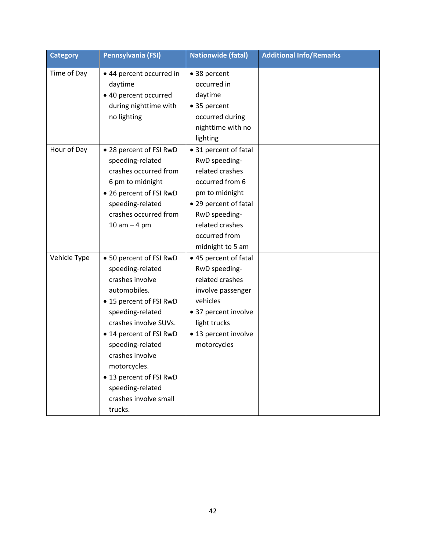| <b>Category</b> | Pennsylvania (FSI)                                                                                                                                                                                                                                                                                                          | <b>Nationwide (fatal)</b>                                                                                                                                                                        | <b>Additional Info/Remarks</b> |
|-----------------|-----------------------------------------------------------------------------------------------------------------------------------------------------------------------------------------------------------------------------------------------------------------------------------------------------------------------------|--------------------------------------------------------------------------------------------------------------------------------------------------------------------------------------------------|--------------------------------|
| Time of Day     | • 44 percent occurred in<br>daytime<br>• 40 percent occurred<br>during nighttime with<br>no lighting                                                                                                                                                                                                                        | • 38 percent<br>occurred in<br>daytime<br>• 35 percent<br>occurred during<br>nighttime with no<br>lighting                                                                                       |                                |
| Hour of Day     | • 28 percent of FSI RwD<br>speeding-related<br>crashes occurred from<br>6 pm to midnight<br>• 26 percent of FSI RwD<br>speeding-related<br>crashes occurred from<br>$10$ am $-$ 4 pm                                                                                                                                        | • 31 percent of fatal<br>RwD speeding-<br>related crashes<br>occurred from 6<br>pm to midnight<br>• 29 percent of fatal<br>RwD speeding-<br>related crashes<br>occurred from<br>midnight to 5 am |                                |
| Vehicle Type    | • 50 percent of FSI RwD<br>speeding-related<br>crashes involve<br>automobiles.<br>• 15 percent of FSI RwD<br>speeding-related<br>crashes involve SUVs.<br>• 14 percent of FSI RwD<br>speeding-related<br>crashes involve<br>motorcycles.<br>• 13 percent of FSI RwD<br>speeding-related<br>crashes involve small<br>trucks. | • 45 percent of fatal<br>RwD speeding-<br>related crashes<br>involve passenger<br>vehicles<br>• 37 percent involve<br>light trucks<br>• 13 percent involve<br>motorcycles                        |                                |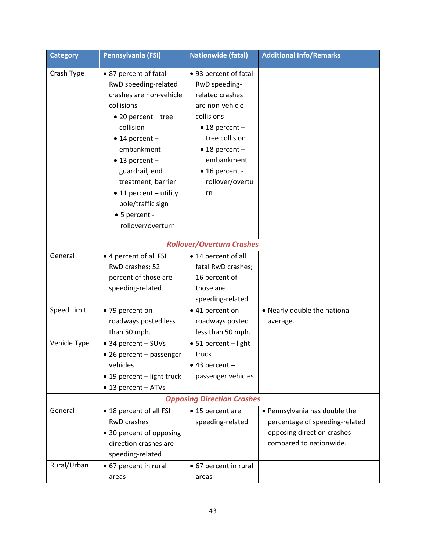| <b>Category</b> | Pennsylvania (FSI)                | <b>Nationwide (fatal)</b>        | <b>Additional Info/Remarks</b> |  |  |
|-----------------|-----------------------------------|----------------------------------|--------------------------------|--|--|
| Crash Type      | • 87 percent of fatal             | • 93 percent of fatal            |                                |  |  |
|                 | RwD speeding-related              | RwD speeding-                    |                                |  |  |
|                 | crashes are non-vehicle           | related crashes                  |                                |  |  |
|                 | collisions                        | are non-vehicle                  |                                |  |  |
|                 | $\bullet$ 20 percent - tree       | collisions                       |                                |  |  |
|                 | collision                         | $\bullet$ 18 percent -           |                                |  |  |
|                 | $\bullet$ 14 percent -            | tree collision                   |                                |  |  |
|                 | embankment                        | $\bullet$ 18 percent -           |                                |  |  |
|                 | $\bullet$ 13 percent -            | embankment                       |                                |  |  |
|                 | guardrail, end                    | • 16 percent -                   |                                |  |  |
|                 | treatment, barrier                | rollover/overtu                  |                                |  |  |
|                 | • 11 percent - utility            | rn                               |                                |  |  |
|                 | pole/traffic sign                 |                                  |                                |  |  |
|                 | • 5 percent -                     |                                  |                                |  |  |
|                 | rollover/overturn                 |                                  |                                |  |  |
|                 |                                   | <b>Rollover/Overturn Crashes</b> |                                |  |  |
| General         | • 4 percent of all FSI            | • 14 percent of all              |                                |  |  |
|                 | RwD crashes; 52                   | fatal RwD crashes;               |                                |  |  |
|                 | percent of those are              | 16 percent of                    |                                |  |  |
|                 | speeding-related                  | those are                        |                                |  |  |
|                 |                                   | speeding-related                 |                                |  |  |
| Speed Limit     | • 79 percent on                   | • 41 percent on                  | • Nearly double the national   |  |  |
|                 | roadways posted less              | roadways posted                  | average.                       |  |  |
|                 | than 50 mph.                      | less than 50 mph.                |                                |  |  |
| Vehicle Type    | • 34 percent - SUVs               | • 51 percent - light             |                                |  |  |
|                 | • 26 percent - passenger          | truck                            |                                |  |  |
|                 | vehicles                          | $\bullet$ 43 percent -           |                                |  |  |
|                 | • 19 percent - light truck        | passenger vehicles               |                                |  |  |
|                 | • 13 percent - ATVs               |                                  |                                |  |  |
|                 | <b>Opposing Direction Crashes</b> |                                  |                                |  |  |
| General         | • 18 percent of all FSI           | • 15 percent are                 | • Pennsylvania has double the  |  |  |
|                 | <b>RwD</b> crashes                | speeding-related                 | percentage of speeding-related |  |  |
|                 | • 30 percent of opposing          |                                  | opposing direction crashes     |  |  |
|                 | direction crashes are             |                                  | compared to nationwide.        |  |  |
|                 | speeding-related                  |                                  |                                |  |  |
| Rural/Urban     | • 67 percent in rural             | • 67 percent in rural            |                                |  |  |
|                 | areas                             | areas                            |                                |  |  |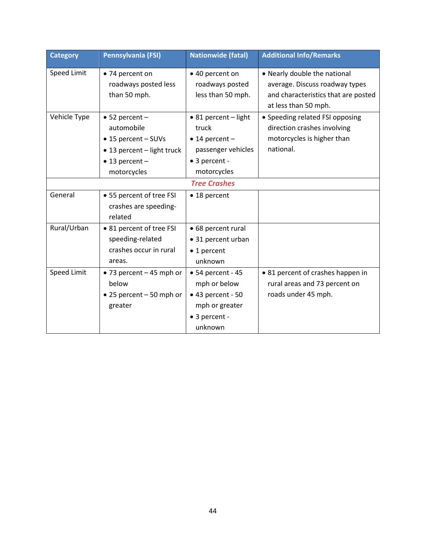| <b>Category</b> | Pennsylvania (FSI)                                                                                                                 | <b>Nationwide (fatal)</b>                                                                                      | <b>Additional Info/Remarks</b>                                                                                                |
|-----------------|------------------------------------------------------------------------------------------------------------------------------------|----------------------------------------------------------------------------------------------------------------|-------------------------------------------------------------------------------------------------------------------------------|
| Speed Limit     | • 74 percent on<br>roadways posted less<br>than 50 mph.                                                                            | • 40 percent on<br>roadways posted<br>less than 50 mph.                                                        | • Nearly double the national<br>average. Discuss roadway types<br>and characteristics that are posted<br>at less than 50 mph. |
| Vehicle Type    | $\bullet$ 52 percent -<br>automobile<br>• 15 percent - SUVs<br>• 13 percent - light truck<br>$\bullet$ 13 percent -<br>motorcycles | • 81 percent - light<br>truck<br>$\bullet$ 14 percent -<br>passenger vehicles<br>• 3 percent -<br>motorcycles  | • Speeding related FSI opposing<br>direction crashes involving<br>motorcycles is higher than<br>national.                     |
|                 |                                                                                                                                    | <b>Tree Crashes</b>                                                                                            |                                                                                                                               |
| General         | • 55 percent of tree FSI<br>crashes are speeding-<br>related                                                                       | • 18 percent                                                                                                   |                                                                                                                               |
| Rural/Urban     | • 81 percent of tree FSI<br>speeding-related<br>crashes occur in rural<br>areas.                                                   | • 68 percent rural<br>• 31 percent urban<br>$\bullet$ 1 percent<br>unknown                                     |                                                                                                                               |
| Speed Limit     | $\bullet$ 73 percent - 45 mph or<br>helow<br>$\bullet$ 25 percent - 50 mph or<br>greater                                           | $\bullet$ 54 percent - 45<br>mph or below<br>$• 43 percent - 50$<br>mph or greater<br>• 3 percent -<br>unknown | • 81 percent of crashes happen in<br>rural areas and 73 percent on<br>roads under 45 mph.                                     |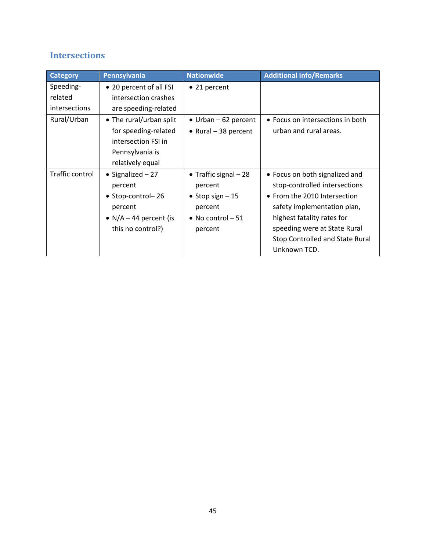## <span id="page-48-0"></span>**Intersections**

| <b>Category</b>      | Pennsylvania             | <b>Nationwide</b>            | <b>Additional Info/Remarks</b>         |
|----------------------|--------------------------|------------------------------|----------------------------------------|
| Speeding-            | • 20 percent of all FSI  | • 21 percent                 |                                        |
| related              | intersection crashes     |                              |                                        |
| <i>intersections</i> | are speeding-related     |                              |                                        |
| Rural/Urban          | • The rural/urban split  | $\bullet$ Urban - 62 percent | • Focus on intersections in both       |
|                      | for speeding-related     | $\bullet$ Rural - 38 percent | urban and rural areas.                 |
|                      | intersection FSI in      |                              |                                        |
|                      | Pennsylvania is          |                              |                                        |
|                      | relatively equal         |                              |                                        |
| Traffic control      | • Signalized $-27$       | • Traffic signal $-28$       | • Focus on both signalized and         |
|                      | percent                  | percent                      | stop-controlled intersections          |
|                      | • Stop-control-26        | • Stop sign $-15$            | • From the 2010 Intersection           |
|                      | percent                  | percent                      | safety implementation plan,            |
|                      | • $N/A - 44$ percent (is | • No control $-51$           | highest fatality rates for             |
|                      | this no control?)        | percent                      | speeding were at State Rural           |
|                      |                          |                              | <b>Stop Controlled and State Rural</b> |
|                      |                          |                              | Unknown TCD.                           |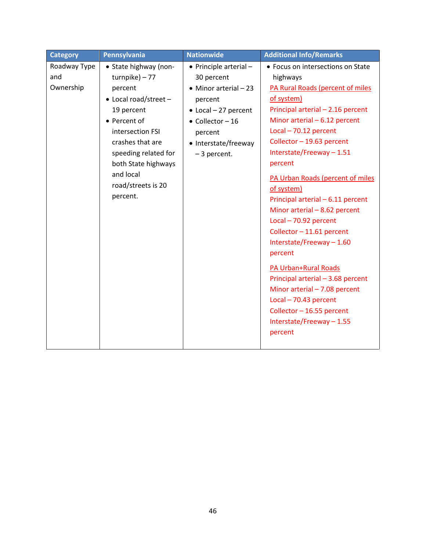| <b>Category</b> | Pennsylvania          | <b>Nationwide</b>             | <b>Additional Info/Remarks</b>    |
|-----------------|-----------------------|-------------------------------|-----------------------------------|
| Roadway Type    | • State highway (non- | • Principle arterial -        | • Focus on intersections on State |
| and             | $turnpike$ ) - 77     | 30 percent                    | highways                          |
| Ownership       | percent               | $\bullet$ Minor arterial - 23 | PA Rural Roads (percent of miles  |
|                 | • Local road/street - | percent                       | of system)                        |
|                 | 19 percent            | $\bullet$ Local - 27 percent  | Principal arterial - 2.16 percent |
|                 | • Percent of          | $\bullet$ Collector - 16      | Minor arterial $-6.12$ percent    |
|                 | intersection FSI      | percent                       | $Local - 70.12 percent$           |
|                 | crashes that are      | • Interstate/freeway          | Collector - 19.63 percent         |
|                 | speeding related for  | -3 percent.                   | Interstate/Freeway-1.51           |
|                 | both State highways   |                               | percent                           |
|                 | and local             |                               | PA Urban Roads (percent of miles  |
|                 | road/streets is 20    |                               | of system)                        |
|                 | percent.              |                               | Principal arterial - 6.11 percent |
|                 |                       |                               | Minor arterial - 8.62 percent     |
|                 |                       |                               | $Local - 70.92 percent$           |
|                 |                       |                               | Collector - 11.61 percent         |
|                 |                       |                               | Interstate/Freeway-1.60           |
|                 |                       |                               | percent                           |
|                 |                       |                               | PA Urban+Rural Roads              |
|                 |                       |                               | Principal arterial - 3.68 percent |
|                 |                       |                               | Minor arterial - 7.08 percent     |
|                 |                       |                               | $Local - 70.43 percent$           |
|                 |                       |                               | Collector - 16.55 percent         |
|                 |                       |                               | Interstate/Freeway-1.55           |
|                 |                       |                               | percent                           |
|                 |                       |                               |                                   |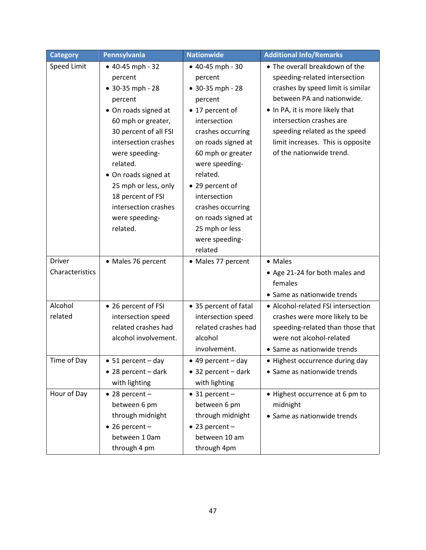| <b>Category</b>           | Pennsylvania                                                                                                                                                                                                                                                                                                         | <b>Nationwide</b>                                                                                                                                                                                                                                                                                                          | <b>Additional Info/Remarks</b>                                                                                                                                                                                                                                                                      |
|---------------------------|----------------------------------------------------------------------------------------------------------------------------------------------------------------------------------------------------------------------------------------------------------------------------------------------------------------------|----------------------------------------------------------------------------------------------------------------------------------------------------------------------------------------------------------------------------------------------------------------------------------------------------------------------------|-----------------------------------------------------------------------------------------------------------------------------------------------------------------------------------------------------------------------------------------------------------------------------------------------------|
| Speed Limit               | $• 40-45 mph - 32$<br>percent<br>• 30-35 mph - 28<br>percent<br>• On roads signed at<br>60 mph or greater,<br>30 percent of all FSI<br>intersection crashes<br>were speeding-<br>related.<br>• On roads signed at<br>25 mph or less, only<br>18 percent of FSI<br>intersection crashes<br>were speeding-<br>related. | $• 40-45 mph - 30$<br>percent<br>• 30-35 mph - 28<br>percent<br>• 17 percent of<br>intersection<br>crashes occurring<br>on roads signed at<br>60 mph or greater<br>were speeding-<br>related.<br>• 29 percent of<br>intersection<br>crashes occurring<br>on roads signed at<br>25 mph or less<br>were speeding-<br>related | • The overall breakdown of the<br>speeding-related intersection<br>crashes by speed limit is similar<br>between PA and nationwide.<br>. In PA, it is more likely that<br>intersection crashes are<br>speeding related as the speed<br>limit increases. This is opposite<br>of the nationwide trend. |
| Driver<br>Characteristics | • Males 76 percent                                                                                                                                                                                                                                                                                                   | • Males 77 percent                                                                                                                                                                                                                                                                                                         | • Males<br>• Age 21-24 for both males and<br>females<br>• Same as nationwide trends                                                                                                                                                                                                                 |
| Alcohol<br>related        | • 26 percent of FSI<br>intersection speed<br>related crashes had<br>alcohol involvement.                                                                                                                                                                                                                             | • 35 percent of fatal<br>intersection speed<br>related crashes had<br>alcohol<br>involvement.                                                                                                                                                                                                                              | • Alcohol-related FSI intersection<br>crashes were more likely to be<br>speeding-related than those that<br>were not alcohol-related<br>• Same as nationwide trends                                                                                                                                 |
| Time of Day               | 51 percent - day<br>$\bullet$ 28 percent - dark<br>with lighting                                                                                                                                                                                                                                                     | 49 percent - day<br>$\bullet$ 32 percent - dark<br>with lighting                                                                                                                                                                                                                                                           | Highest occurrence during day<br>• Same as nationwide trends                                                                                                                                                                                                                                        |
| Hour of Day               | $\bullet$ 28 percent -<br>between 6 pm<br>through midnight<br>$\bullet$ 26 percent -<br>between 1 0am<br>through 4 pm                                                                                                                                                                                                | $\bullet$ 31 percent -<br>between 6 pm<br>through midnight<br>$\bullet$ 23 percent -<br>between 10 am<br>through 4pm                                                                                                                                                                                                       | • Highest occurrence at 6 pm to<br>midnight<br>• Same as nationwide trends                                                                                                                                                                                                                          |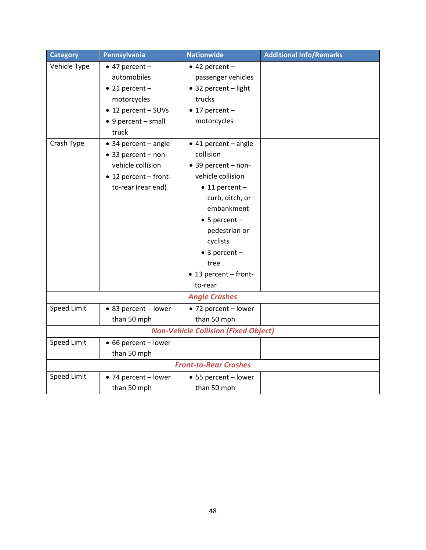| <b>Category</b> | Pennsylvania                 | <b>Nationwide</b>                           | <b>Additional Info/Remarks</b> |
|-----------------|------------------------------|---------------------------------------------|--------------------------------|
| Vehicle Type    | $\bullet$ 47 percent -       | $\bullet$ 42 percent -                      |                                |
|                 | automobiles                  | passenger vehicles                          |                                |
|                 | $\bullet$ 21 percent -       | • 32 percent - light                        |                                |
|                 | motorcycles                  | trucks                                      |                                |
|                 | • 12 percent - SUVs          | $\bullet$ 17 percent -                      |                                |
|                 | • 9 percent - small          | motorcycles                                 |                                |
|                 | truck                        |                                             |                                |
| Crash Type      | $\bullet$ 34 percent - angle | $\bullet$ 41 percent - angle                |                                |
|                 | • 33 percent - non-          | collision                                   |                                |
|                 | vehicle collision            | • 39 percent - non-                         |                                |
|                 | • 12 percent - front-        | vehicle collision                           |                                |
|                 | to-rear (rear end)           | $\bullet$ 11 percent -                      |                                |
|                 |                              | curb, ditch, or                             |                                |
|                 |                              | embankment                                  |                                |
|                 |                              | $\bullet$ 5 percent -                       |                                |
|                 |                              | pedestrian or                               |                                |
|                 |                              | cyclists                                    |                                |
|                 |                              | $\bullet$ 3 percent -                       |                                |
|                 |                              | tree                                        |                                |
|                 |                              | • 13 percent - front-                       |                                |
|                 |                              | to-rear                                     |                                |
|                 |                              | <b>Angle Crashes</b>                        |                                |
| Speed Limit     | • 83 percent - lower         | • 72 percent - lower                        |                                |
|                 | than 50 mph                  | than 50 mph                                 |                                |
|                 |                              | <b>Non-Vehicle Collision (Fixed Object)</b> |                                |
| Speed Limit     | • 66 percent - lower         |                                             |                                |
|                 | than 50 mph                  |                                             |                                |
|                 |                              | <b>Front-to-Rear Crashes</b>                |                                |
| Speed Limit     | • 74 percent - lower         | • 55 percent - lower                        |                                |
|                 | than 50 mph                  | than 50 mph                                 |                                |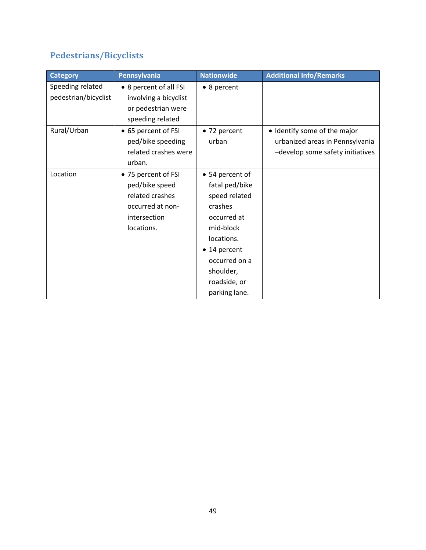## <span id="page-52-0"></span>**Pedestrians/Bicyclists**

| <b>Category</b>      | Pennsylvania           | <b>Nationwide</b> | <b>Additional Info/Remarks</b>   |
|----------------------|------------------------|-------------------|----------------------------------|
| Speeding related     | • 8 percent of all FSI | • 8 percent       |                                  |
| pedestrian/bicyclist | involving a bicyclist  |                   |                                  |
|                      | or pedestrian were     |                   |                                  |
|                      | speeding related       |                   |                                  |
| Rural/Urban          | • 65 percent of FSI    | • 72 percent      | • Identify some of the major     |
|                      | ped/bike speeding      | urban             | urbanized areas in Pennsylvania  |
|                      | related crashes were   |                   | -develop some safety initiatives |
|                      | urban.                 |                   |                                  |
| Location             | • 75 percent of FSI    | • 54 percent of   |                                  |
|                      | ped/bike speed         | fatal ped/bike    |                                  |
|                      | related crashes        | speed related     |                                  |
|                      | occurred at non-       | crashes           |                                  |
|                      | intersection           | occurred at       |                                  |
|                      | locations.             | mid-block         |                                  |
|                      |                        | locations.        |                                  |
|                      |                        | • 14 percent      |                                  |
|                      |                        | occurred on a     |                                  |
|                      |                        | shoulder,         |                                  |
|                      |                        | roadside, or      |                                  |
|                      |                        | parking lane.     |                                  |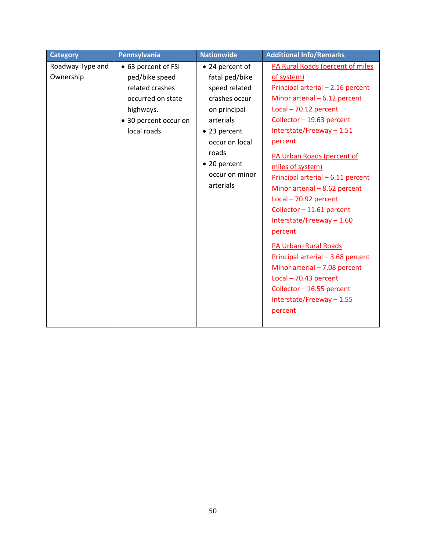| Roadway Type and<br>• 63 percent of FSI<br>• 24 percent of<br>Ownership<br>ped/bike speed<br>fatal ped/bike<br>of system)                                                                                                                                                                                                                                                                                                                                                                                                                                                                                                                                                               | <b>Category</b> | Pennsylvania    | <b>Nationwide</b> | <b>Additional Info/Remarks</b>                                                                                                                  |
|-----------------------------------------------------------------------------------------------------------------------------------------------------------------------------------------------------------------------------------------------------------------------------------------------------------------------------------------------------------------------------------------------------------------------------------------------------------------------------------------------------------------------------------------------------------------------------------------------------------------------------------------------------------------------------------------|-----------------|-----------------|-------------------|-------------------------------------------------------------------------------------------------------------------------------------------------|
| Minor arterial $-6.12$ percent<br>occurred on state<br>crashes occur<br>$Local - 70.12 percent$<br>highways.<br>on principal<br>Collector - 19.63 percent<br>arterials<br>• 30 percent occur on<br>Interstate/Freeway-1.51<br>local roads.<br>• 23 percent<br>percent<br>occur on local<br>roads<br>PA Urban Roads (percent of<br>• 20 percent<br>miles of system)<br>occur on minor<br>arterials<br>Minor arterial - 8.62 percent<br>Local - 70.92 percent<br>Collector - 11.61 percent<br>Interstate/Freeway-1.60<br>percent<br>PA Urban+Rural Roads<br>Minor arterial - 7.08 percent<br>$Local - 70.43 percent$<br>Collector - 16.55 percent<br>Interstate/Freeway - 1.55<br>percent |                 | related crashes | speed related     | PA Rural Roads (percent of miles<br>Principal arterial - 2.16 percent<br>Principal arterial - 6.11 percent<br>Principal arterial - 3.68 percent |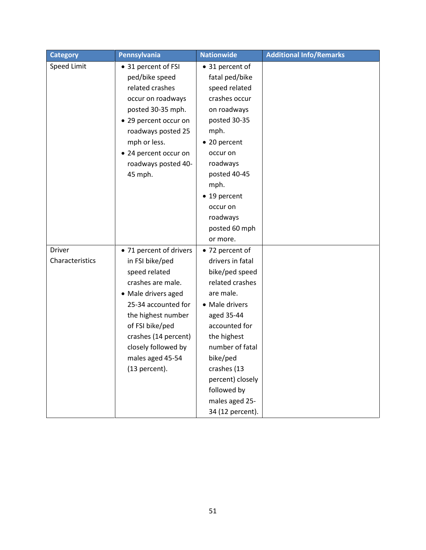| <b>Category</b>                  | Pennsylvania                                                                                                                                                                                                                                                | <b>Nationwide</b>                                                                                                                                                                                                                                                            | <b>Additional Info/Remarks</b> |
|----------------------------------|-------------------------------------------------------------------------------------------------------------------------------------------------------------------------------------------------------------------------------------------------------------|------------------------------------------------------------------------------------------------------------------------------------------------------------------------------------------------------------------------------------------------------------------------------|--------------------------------|
| <b>Speed Limit</b>               | • 31 percent of FSI<br>ped/bike speed<br>related crashes<br>occur on roadways<br>posted 30-35 mph.<br>• 29 percent occur on<br>roadways posted 25<br>mph or less.<br>• 24 percent occur on<br>roadways posted 40-<br>45 mph.                                | • 31 percent of<br>fatal ped/bike<br>speed related<br>crashes occur<br>on roadways<br>posted 30-35<br>mph.<br>• 20 percent<br>occur on<br>roadways<br>posted 40-45<br>mph.<br>• 19 percent<br>occur on<br>roadways<br>posted 60 mph<br>or more.                              |                                |
| <b>Driver</b><br>Characteristics | • 71 percent of drivers<br>in FSI bike/ped<br>speed related<br>crashes are male.<br>• Male drivers aged<br>25-34 accounted for<br>the highest number<br>of FSI bike/ped<br>crashes (14 percent)<br>closely followed by<br>males aged 45-54<br>(13 percent). | • 72 percent of<br>drivers in fatal<br>bike/ped speed<br>related crashes<br>are male.<br>• Male drivers<br>aged 35-44<br>accounted for<br>the highest<br>number of fatal<br>bike/ped<br>crashes (13<br>percent) closely<br>followed by<br>males aged 25-<br>34 (12 percent). |                                |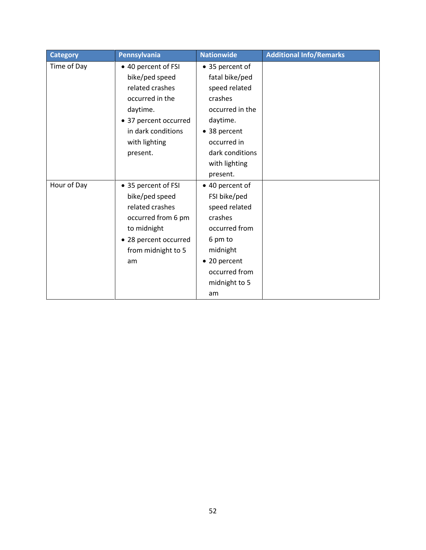| <b>Category</b> | Pennsylvania          | <b>Nationwide</b> | <b>Additional Info/Remarks</b> |
|-----------------|-----------------------|-------------------|--------------------------------|
| Time of Day     | • 40 percent of FSI   | • 35 percent of   |                                |
|                 | bike/ped speed        | fatal bike/ped    |                                |
|                 | related crashes       | speed related     |                                |
|                 | occurred in the       | crashes           |                                |
|                 | daytime.              | occurred in the   |                                |
|                 | • 37 percent occurred | daytime.          |                                |
|                 | in dark conditions    | • 38 percent      |                                |
|                 | with lighting         | occurred in       |                                |
|                 | present.              | dark conditions   |                                |
|                 |                       | with lighting     |                                |
|                 |                       | present.          |                                |
| Hour of Day     | • 35 percent of FSI   | • 40 percent of   |                                |
|                 | bike/ped speed        | FSI bike/ped      |                                |
|                 | related crashes       | speed related     |                                |
|                 | occurred from 6 pm    | crashes           |                                |
|                 | to midnight           | occurred from     |                                |
|                 | • 28 percent occurred | 6 pm to           |                                |
|                 | from midnight to 5    | midnight          |                                |
|                 | am                    | • 20 percent      |                                |
|                 |                       | occurred from     |                                |
|                 |                       | midnight to 5     |                                |
|                 |                       | am                |                                |